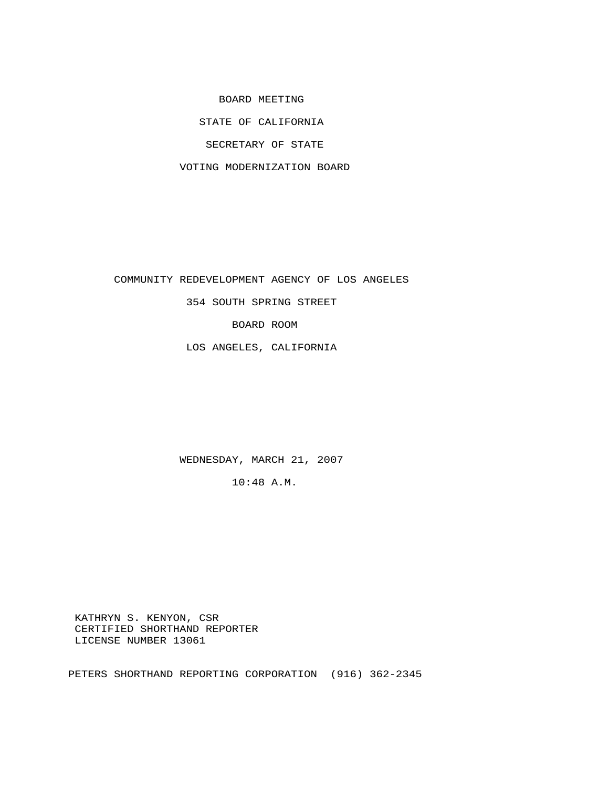BOARD MEETING

STATE OF CALIFORNIA

SECRETARY OF STATE

VOTING MODERNIZATION BOARD

COMMUNITY REDEVELOPMENT AGENCY OF LOS ANGELES

354 SOUTH SPRING STREET

BOARD ROOM

LOS ANGELES, CALIFORNIA

WEDNESDAY, MARCH 21, 2007

10:48 A.M.

 KATHRYN S. KENYON, CSR CERTIFIED SHORTHAND REPORTER LICENSE NUMBER 13061

PETERS SHORTHAND REPORTING CORPORATION (916) 362-2345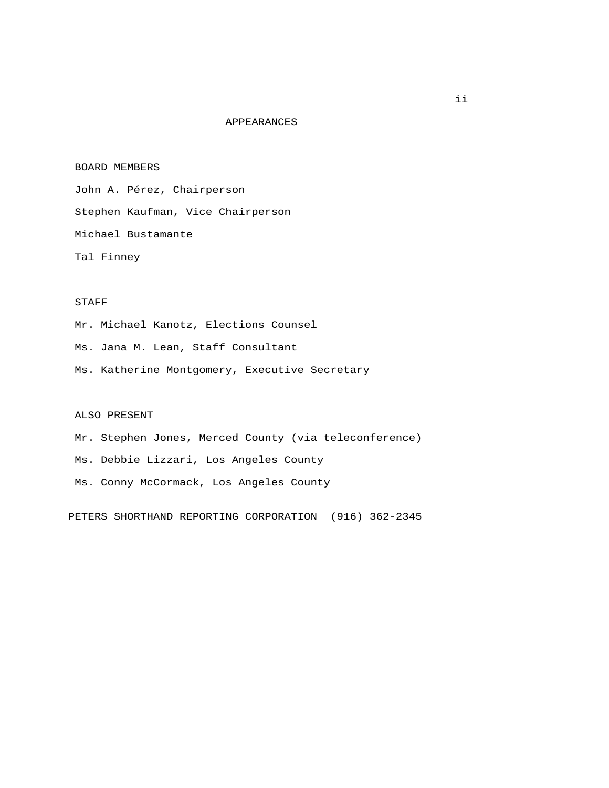### APPEARANCES

#### BOARD MEMBERS

 John A. Pérez, Chairperson Stephen Kaufman, Vice Chairperson Michael Bustamante Tal Finney

## STAFF

Mr. Michael Kanotz, Elections Counsel

Ms. Jana M. Lean, Staff Consultant

Ms. Katherine Montgomery, Executive Secretary

#### ALSO PRESENT

 Mr. Stephen Jones, Merced County (via teleconference) Ms. Debbie Lizzari, Los Angeles County Ms. Conny McCormack, Los Angeles County

PETERS SHORTHAND REPORTING CORPORATION (916) 362-2345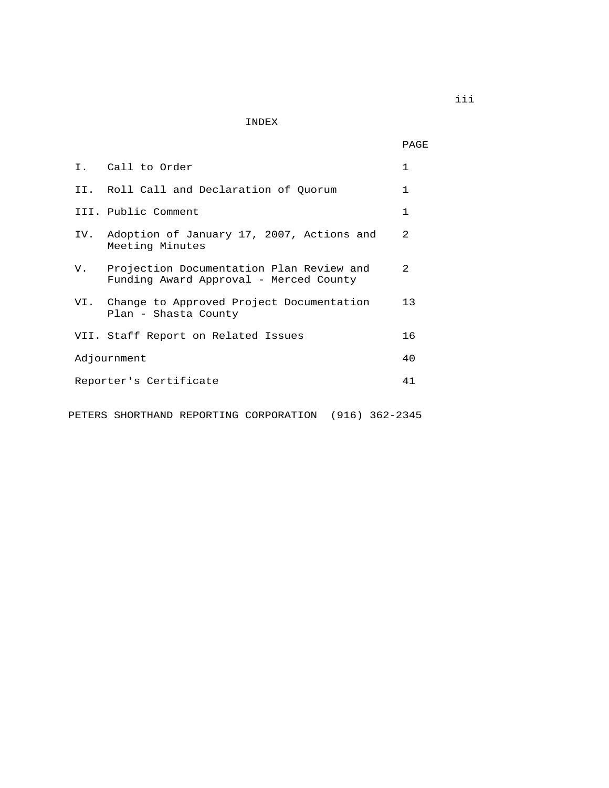INDEX

PAGE

|  | I. Call to Order                                                                      | 1              |
|--|---------------------------------------------------------------------------------------|----------------|
|  | II. Roll Call and Declaration of Ouorum                                               | $\mathbf{1}$   |
|  | III. Public Comment                                                                   | $\mathbf{1}$   |
|  | IV. Adoption of January 17, 2007, Actions and<br>Meeting Minutes                      | $\mathfrak{D}$ |
|  | V. Projection Documentation Plan Review and<br>Funding Award Approval - Merced County | $\mathcal{L}$  |
|  | VI. Change to Approved Project Documentation<br>Plan - Shasta County                  | 13             |
|  | VII. Staff Report on Related Issues                                                   | 16             |
|  | Adjournment                                                                           | 40             |
|  | Reporter's Certificate                                                                | 41             |
|  | (916) 362-2345<br>PETERS SHORTHAND REPORTING CORPORATION                              |                |

iii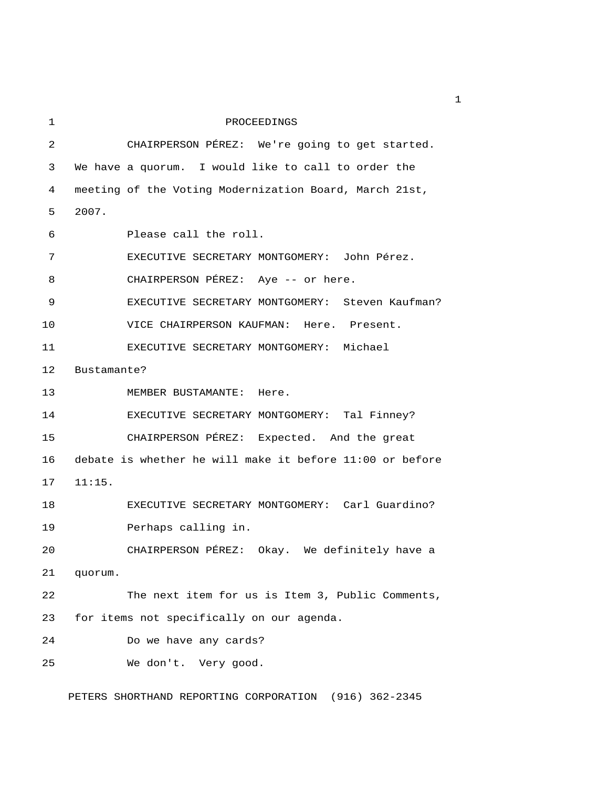| 1              | PROCEEDINGS                                              |
|----------------|----------------------------------------------------------|
| $\overline{c}$ | CHAIRPERSON PÉREZ: We're going to get started.           |
| 3              | We have a quorum. I would like to call to order the      |
| 4              | meeting of the Voting Modernization Board, March 21st,   |
| 5              | 2007.                                                    |
| 6              | Please call the roll.                                    |
| 7              | EXECUTIVE SECRETARY MONTGOMERY: John Pérez.              |
| 8              | CHAIRPERSON PÉREZ: Aye -- or here.                       |
| 9              | EXECUTIVE SECRETARY MONTGOMERY: Steven Kaufman?          |
| 10             | VICE CHAIRPERSON KAUFMAN: Here. Present.                 |
| 11             | EXECUTIVE SECRETARY MONTGOMERY: Michael                  |
| 12             | Bustamante?                                              |
| 13             | MEMBER BUSTAMANTE: Here.                                 |
| 14             | EXECUTIVE SECRETARY MONTGOMERY: Tal Finney?              |
| 15             | CHAIRPERSON PÉREZ: Expected. And the great               |
| 16             | debate is whether he will make it before 11:00 or before |
| 17             | 11:15.                                                   |
| 18             | EXECUTIVE SECRETARY MONTGOMERY: Carl Guardino?           |
| 19             | Perhaps calling in.                                      |
| 20             | CHAIRPERSON PÉREZ: Okay. We definitely have a            |
| 21             | quorum.                                                  |
| 22             | The next item for us is Item 3, Public Comments,         |
| 23             | for items not specifically on our agenda.                |
| 24             | Do we have any cards?                                    |
| 25             | We don't. Very good.                                     |

PETERS SHORTHAND REPORTING CORPORATION (916) 362-2345

 $\mathbf 1$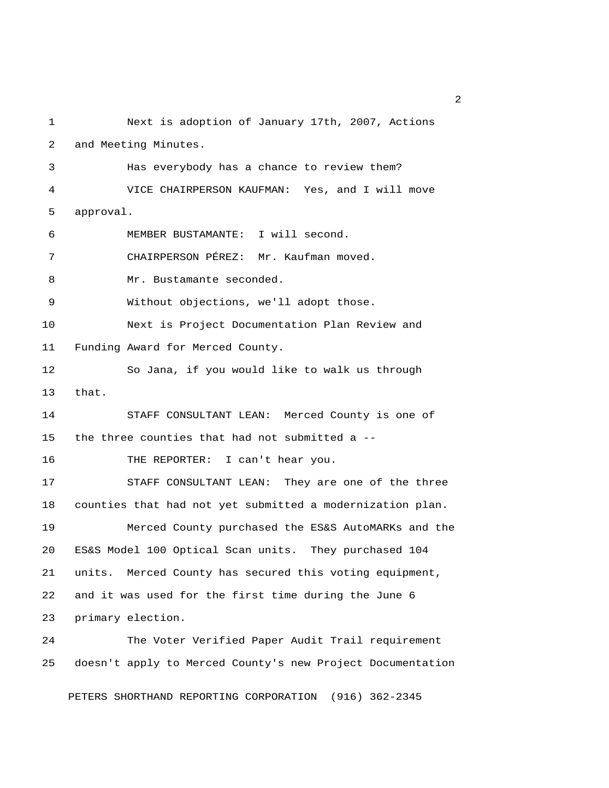1 Next is adoption of January 17th, 2007, Actions 2 and Meeting Minutes. 3 Has everybody has a chance to review them? 4 VICE CHAIRPERSON KAUFMAN: Yes, and I will move 5 approval. 6 MEMBER BUSTAMANTE: I will second. 7 CHAIRPERSON PÉREZ: Mr. Kaufman moved. 8 Mr. Bustamante seconded. 9 Without objections, we'll adopt those. 10 Next is Project Documentation Plan Review and 11 Funding Award for Merced County. 12 So Jana, if you would like to walk us through 13 that. 14 STAFF CONSULTANT LEAN: Merced County is one of 15 the three counties that had not submitted a -- 16 THE REPORTER: I can't hear you. 17 STAFF CONSULTANT LEAN: They are one of the three 18 counties that had not yet submitted a modernization plan. 19 Merced County purchased the ES&S AutoMARKs and the 20 ES&S Model 100 Optical Scan units. They purchased 104 21 units. Merced County has secured this voting equipment, 22 and it was used for the first time during the June 6 23 primary election. 24 The Voter Verified Paper Audit Trail requirement 25 doesn't apply to Merced County's new Project Documentation

PETERS SHORTHAND REPORTING CORPORATION (916) 362-2345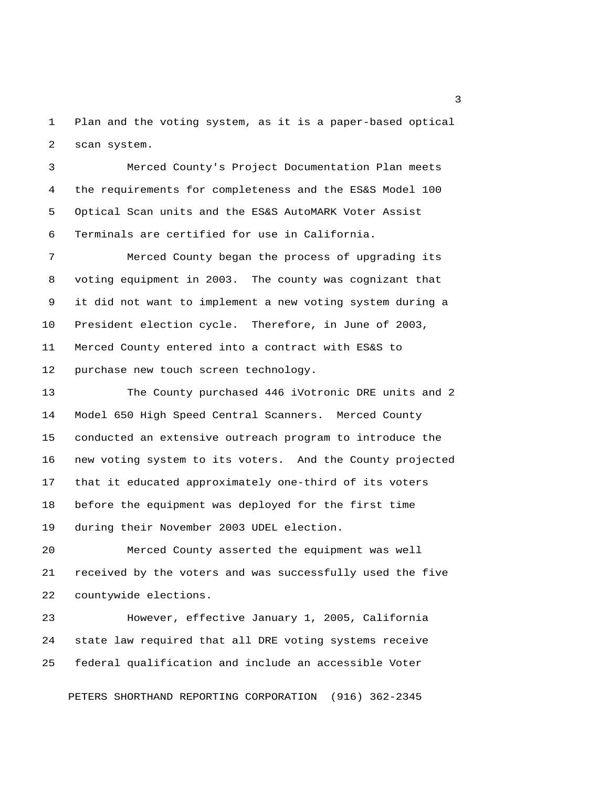1 Plan and the voting system, as it is a paper-based optical 2 scan system.

 3 Merced County's Project Documentation Plan meets 4 the requirements for completeness and the ES&S Model 100 5 Optical Scan units and the ES&S AutoMARK Voter Assist 6 Terminals are certified for use in California.

 7 Merced County began the process of upgrading its 8 voting equipment in 2003. The county was cognizant that 9 it did not want to implement a new voting system during a 10 President election cycle. Therefore, in June of 2003, 11 Merced County entered into a contract with ES&S to 12 purchase new touch screen technology.

13 The County purchased 446 iVotronic DRE units and 2 14 Model 650 High Speed Central Scanners. Merced County 15 conducted an extensive outreach program to introduce the 16 new voting system to its voters. And the County projected 17 that it educated approximately one-third of its voters 18 before the equipment was deployed for the first time 19 during their November 2003 UDEL election.

20 Merced County asserted the equipment was well 21 received by the voters and was successfully used the five 22 countywide elections.

23 However, effective January 1, 2005, California 24 state law required that all DRE voting systems receive 25 federal qualification and include an accessible Voter

PETERS SHORTHAND REPORTING CORPORATION (916) 362-2345

 $\overline{\mathbf{3}}$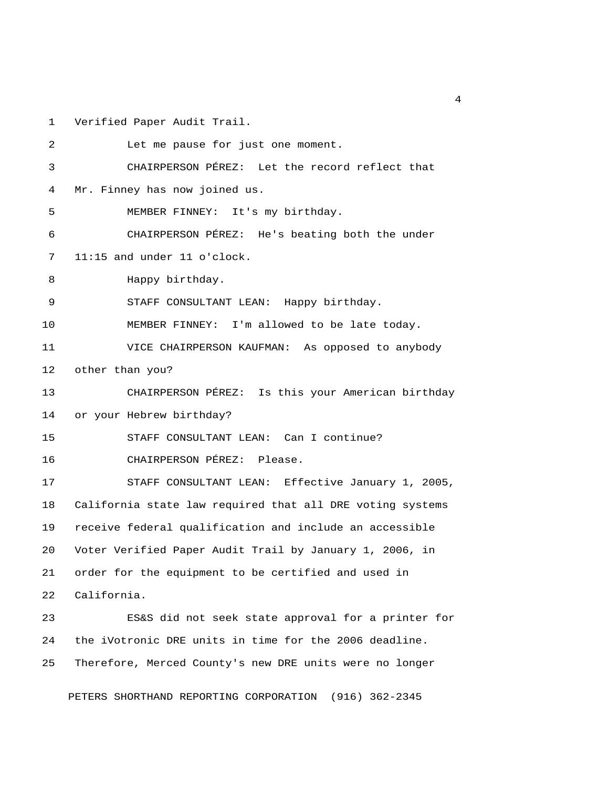1 Verified Paper Audit Trail.

| 2  | Let me pause for just one moment.                         |
|----|-----------------------------------------------------------|
| 3  | CHAIRPERSON PÉREZ: Let the record reflect that            |
| 4  | Mr. Finney has now joined us.                             |
| 5  | MEMBER FINNEY: It's my birthday.                          |
| 6  | CHAIRPERSON PÉREZ: He's beating both the under            |
| 7  | $11:15$ and under $11$ o'clock.                           |
| 8  | Happy birthday.                                           |
| 9  | STAFF CONSULTANT LEAN: Happy birthday.                    |
| 10 | MEMBER FINNEY: I'm allowed to be late today.              |
| 11 | VICE CHAIRPERSON KAUFMAN: As opposed to anybody           |
| 12 | other than you?                                           |
| 13 | CHAIRPERSON PÉREZ: Is this your American birthday         |
| 14 | or your Hebrew birthday?                                  |
| 15 | STAFF CONSULTANT LEAN: Can I continue?                    |
| 16 | CHAIRPERSON PÉREZ: Please.                                |
| 17 | STAFF CONSULTANT LEAN: Effective January 1, 2005,         |
| 18 | California state law required that all DRE voting systems |
| 19 | receive federal qualification and include an accessible   |
| 20 | Voter Verified Paper Audit Trail by January 1, 2006, in   |
| 21 | order for the equipment to be certified and used in       |
| 22 | California.                                               |
| 23 | ES&S did not seek state approval for a printer for        |
| 24 | the iVotronic DRE units in time for the 2006 deadline.    |
| 25 | Therefore, Merced County's new DRE units were no longer   |

PETERS SHORTHAND REPORTING CORPORATION (916) 362-2345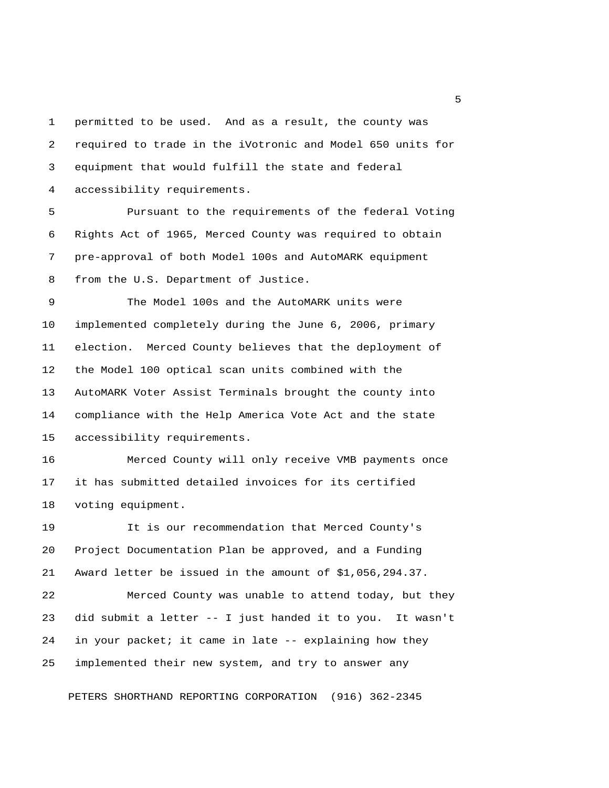1 permitted to be used. And as a result, the county was 2 required to trade in the iVotronic and Model 650 units for 3 equipment that would fulfill the state and federal 4 accessibility requirements.

 5 Pursuant to the requirements of the federal Voting 6 Rights Act of 1965, Merced County was required to obtain 7 pre-approval of both Model 100s and AutoMARK equipment 8 from the U.S. Department of Justice.

 9 The Model 100s and the AutoMARK units were 10 implemented completely during the June 6, 2006, primary 11 election. Merced County believes that the deployment of 12 the Model 100 optical scan units combined with the 13 AutoMARK Voter Assist Terminals brought the county into 14 compliance with the Help America Vote Act and the state 15 accessibility requirements.

16 Merced County will only receive VMB payments once 17 it has submitted detailed invoices for its certified 18 voting equipment.

19 It is our recommendation that Merced County's 20 Project Documentation Plan be approved, and a Funding 21 Award letter be issued in the amount of \$1,056,294.37.

22 Merced County was unable to attend today, but they 23 did submit a letter -- I just handed it to you. It wasn't 24 in your packet; it came in late -- explaining how they 25 implemented their new system, and try to answer any

PETERS SHORTHAND REPORTING CORPORATION (916) 362-2345

 $\sim$  5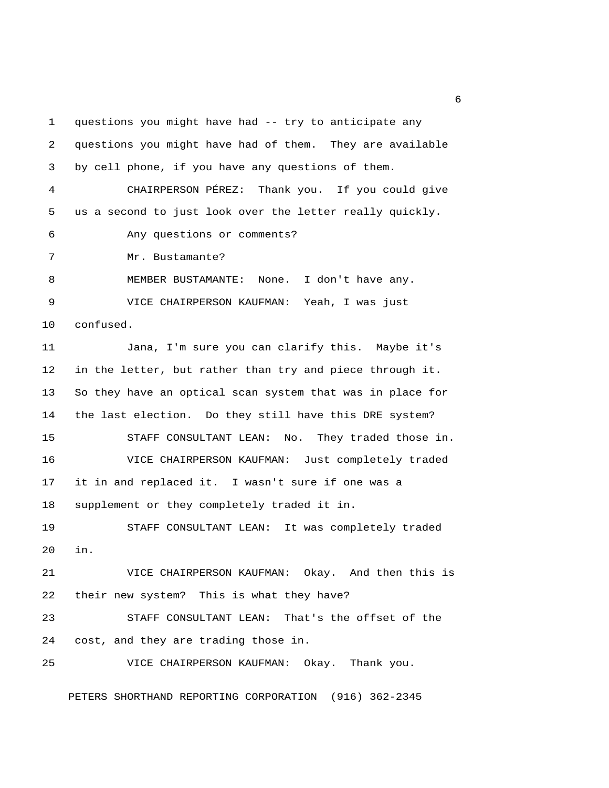1 questions you might have had -- try to anticipate any 2 questions you might have had of them. They are available 3 by cell phone, if you have any questions of them. 4 CHAIRPERSON PÉREZ: Thank you. If you could give 5 us a second to just look over the letter really quickly. 6 Any questions or comments? 7 Mr. Bustamante? 8 MEMBER BUSTAMANTE: None. I don't have any. 9 VICE CHAIRPERSON KAUFMAN: Yeah, I was just 10 confused. 11 Jana, I'm sure you can clarify this. Maybe it's 12 in the letter, but rather than try and piece through it. 13 So they have an optical scan system that was in place for 14 the last election. Do they still have this DRE system? 15 STAFF CONSULTANT LEAN: No. They traded those in. 16 VICE CHAIRPERSON KAUFMAN: Just completely traded 17 it in and replaced it. I wasn't sure if one was a 18 supplement or they completely traded it in. 19 STAFF CONSULTANT LEAN: It was completely traded 20 in. 21 VICE CHAIRPERSON KAUFMAN: Okay. And then this is 22 their new system? This is what they have? 23 STAFF CONSULTANT LEAN: That's the offset of the 24 cost, and they are trading those in. 25 VICE CHAIRPERSON KAUFMAN: Okay. Thank you.

PETERS SHORTHAND REPORTING CORPORATION (916) 362-2345

 $6<sup>6</sup>$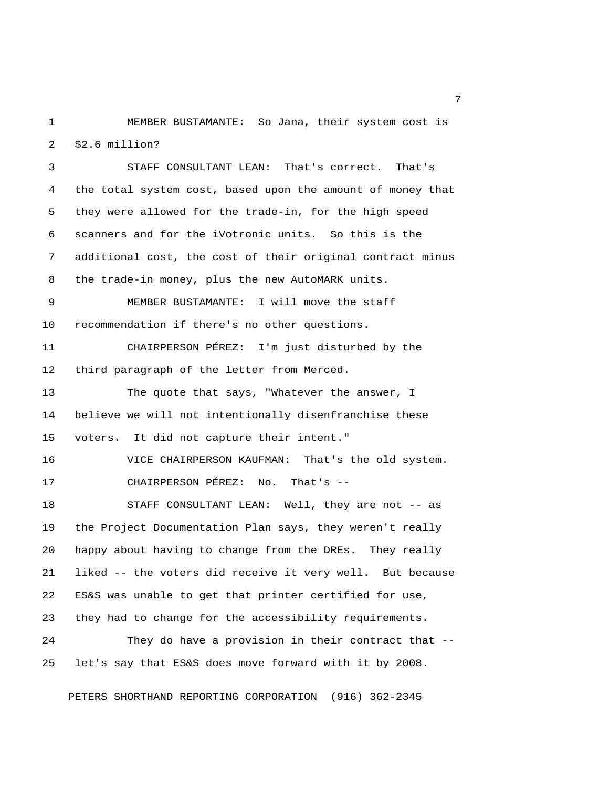1 MEMBER BUSTAMANTE: So Jana, their system cost is 2 \$2.6 million?

 3 STAFF CONSULTANT LEAN: That's correct. That's 4 the total system cost, based upon the amount of money that 5 they were allowed for the trade-in, for the high speed 6 scanners and for the iVotronic units. So this is the 7 additional cost, the cost of their original contract minus 8 the trade-in money, plus the new AutoMARK units. 9 MEMBER BUSTAMANTE: I will move the staff 10 recommendation if there's no other questions. 11 CHAIRPERSON PÉREZ: I'm just disturbed by the 12 third paragraph of the letter from Merced. 13 The quote that says, "Whatever the answer, I 14 believe we will not intentionally disenfranchise these 15 voters. It did not capture their intent." 16 VICE CHAIRPERSON KAUFMAN: That's the old system. 17 CHAIRPERSON PÉREZ: No. That's -- 18 STAFF CONSULTANT LEAN: Well, they are not -- as 19 the Project Documentation Plan says, they weren't really 20 happy about having to change from the DREs. They really 21 liked -- the voters did receive it very well. But because 22 ES&S was unable to get that printer certified for use, 23 they had to change for the accessibility requirements. 24 They do have a provision in their contract that -- 25 let's say that ES&S does move forward with it by 2008.

PETERS SHORTHAND REPORTING CORPORATION (916) 362-2345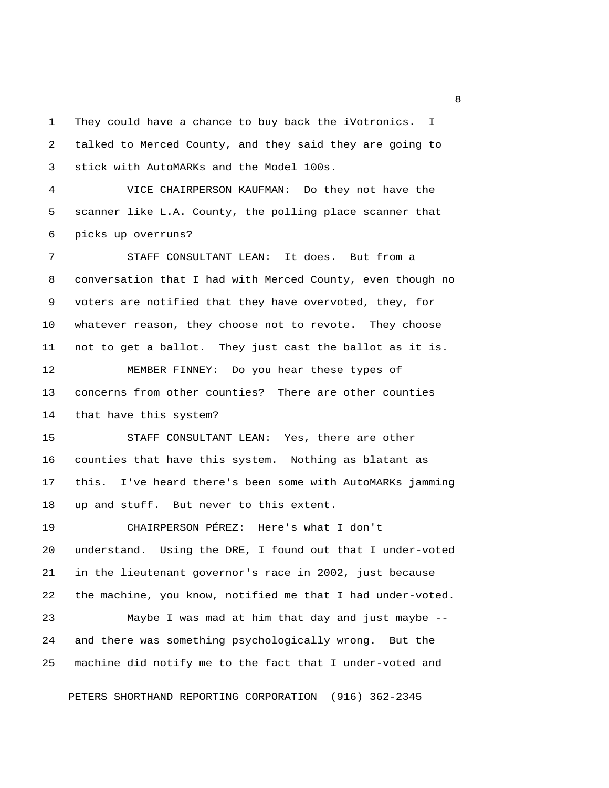1 They could have a chance to buy back the iVotronics. I 2 talked to Merced County, and they said they are going to 3 stick with AutoMARKs and the Model 100s.

 4 VICE CHAIRPERSON KAUFMAN: Do they not have the 5 scanner like L.A. County, the polling place scanner that 6 picks up overruns?

 7 STAFF CONSULTANT LEAN: It does. But from a 8 conversation that I had with Merced County, even though no 9 voters are notified that they have overvoted, they, for 10 whatever reason, they choose not to revote. They choose 11 not to get a ballot. They just cast the ballot as it is.

12 MEMBER FINNEY: Do you hear these types of 13 concerns from other counties? There are other counties 14 that have this system?

15 STAFF CONSULTANT LEAN: Yes, there are other 16 counties that have this system. Nothing as blatant as 17 this. I've heard there's been some with AutoMARKs jamming 18 up and stuff. But never to this extent.

19 CHAIRPERSON PÉREZ: Here's what I don't 20 understand. Using the DRE, I found out that I under-voted 21 in the lieutenant governor's race in 2002, just because 22 the machine, you know, notified me that I had under-voted.

23 Maybe I was mad at him that day and just maybe -- 24 and there was something psychologically wrong. But the 25 machine did notify me to the fact that I under-voted and

PETERS SHORTHAND REPORTING CORPORATION (916) 362-2345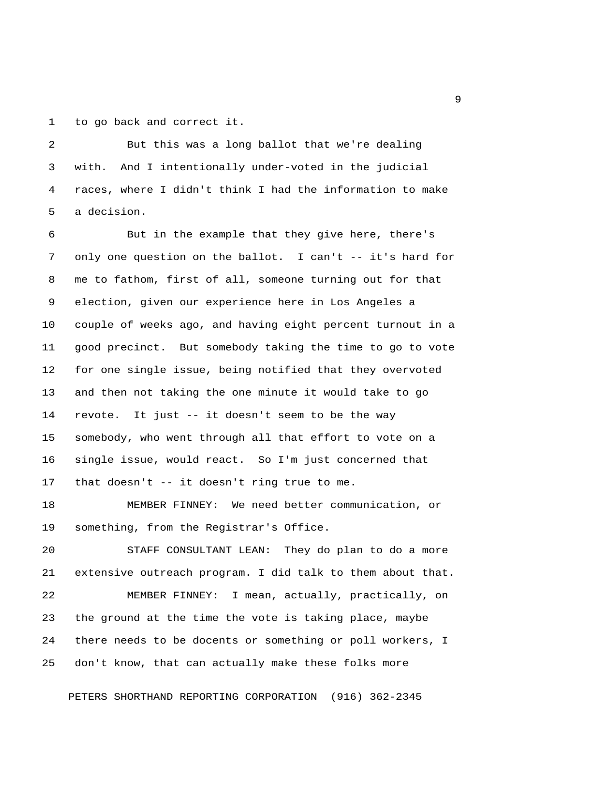1 to go back and correct it.

 2 But this was a long ballot that we're dealing 3 with. And I intentionally under-voted in the judicial 4 races, where I didn't think I had the information to make 5 a decision.

 6 But in the example that they give here, there's 7 only one question on the ballot. I can't -- it's hard for 8 me to fathom, first of all, someone turning out for that 9 election, given our experience here in Los Angeles a 10 couple of weeks ago, and having eight percent turnout in a 11 good precinct. But somebody taking the time to go to vote 12 for one single issue, being notified that they overvoted 13 and then not taking the one minute it would take to go 14 revote. It just -- it doesn't seem to be the way 15 somebody, who went through all that effort to vote on a 16 single issue, would react. So I'm just concerned that 17 that doesn't -- it doesn't ring true to me.

18 MEMBER FINNEY: We need better communication, or 19 something, from the Registrar's Office.

20 STAFF CONSULTANT LEAN: They do plan to do a more 21 extensive outreach program. I did talk to them about that.

22 MEMBER FINNEY: I mean, actually, practically, on 23 the ground at the time the vote is taking place, maybe 24 there needs to be docents or something or poll workers, I 25 don't know, that can actually make these folks more

PETERS SHORTHAND REPORTING CORPORATION (916) 362-2345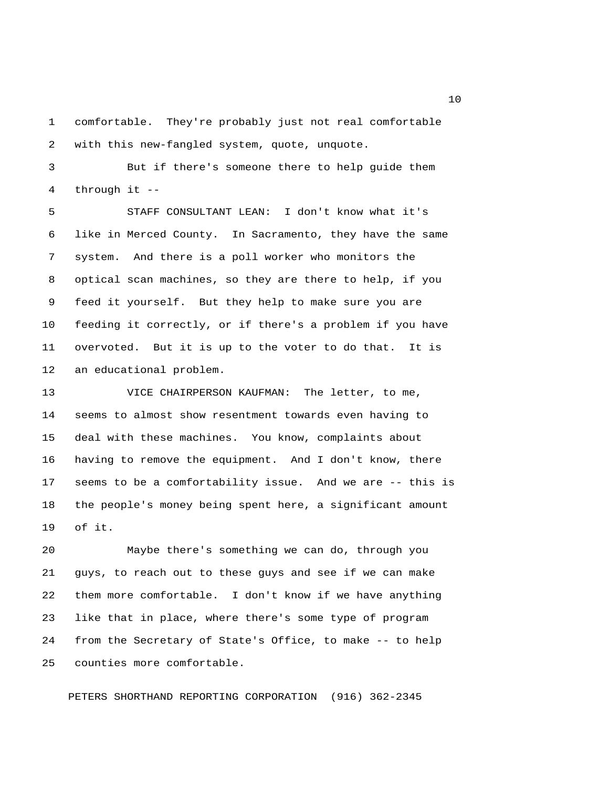1 comfortable. They're probably just not real comfortable 2 with this new-fangled system, quote, unquote.

 3 But if there's someone there to help guide them 4 through it --

 5 STAFF CONSULTANT LEAN: I don't know what it's 6 like in Merced County. In Sacramento, they have the same 7 system. And there is a poll worker who monitors the 8 optical scan machines, so they are there to help, if you 9 feed it yourself. But they help to make sure you are 10 feeding it correctly, or if there's a problem if you have 11 overvoted. But it is up to the voter to do that. It is 12 an educational problem.

13 VICE CHAIRPERSON KAUFMAN: The letter, to me, 14 seems to almost show resentment towards even having to 15 deal with these machines. You know, complaints about 16 having to remove the equipment. And I don't know, there 17 seems to be a comfortability issue. And we are -- this is 18 the people's money being spent here, a significant amount 19 of it.

20 Maybe there's something we can do, through you 21 guys, to reach out to these guys and see if we can make 22 them more comfortable. I don't know if we have anything 23 like that in place, where there's some type of program 24 from the Secretary of State's Office, to make -- to help 25 counties more comfortable.

PETERS SHORTHAND REPORTING CORPORATION (916) 362-2345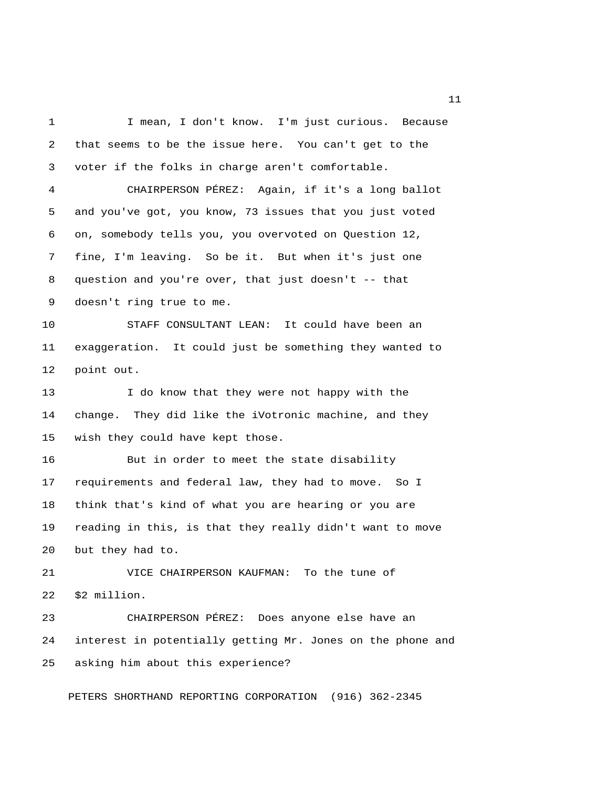1 I mean, I don't know. I'm just curious. Because 2 that seems to be the issue here. You can't get to the 3 voter if the folks in charge aren't comfortable. 4 CHAIRPERSON PÉREZ: Again, if it's a long ballot 5 and you've got, you know, 73 issues that you just voted 6 on, somebody tells you, you overvoted on Question 12, 7 fine, I'm leaving. So be it. But when it's just one 8 question and you're over, that just doesn't -- that 9 doesn't ring true to me. 10 STAFF CONSULTANT LEAN: It could have been an 11 exaggeration. It could just be something they wanted to 12 point out. 13 I do know that they were not happy with the 14 change. They did like the iVotronic machine, and they 15 wish they could have kept those. 16 But in order to meet the state disability 17 requirements and federal law, they had to move. So I 18 think that's kind of what you are hearing or you are 19 reading in this, is that they really didn't want to move 20 but they had to. 21 VICE CHAIRPERSON KAUFMAN: To the tune of 22 \$2 million. 23 CHAIRPERSON PÉREZ: Does anyone else have an 24 interest in potentially getting Mr. Jones on the phone and 25 asking him about this experience? PETERS SHORTHAND REPORTING CORPORATION (916) 362-2345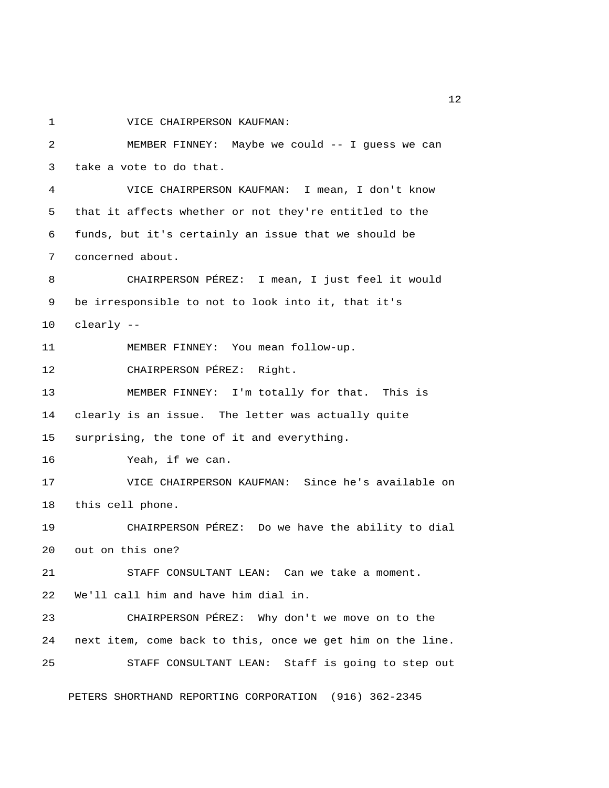1 VICE CHAIRPERSON KAUFMAN:

 2 MEMBER FINNEY: Maybe we could -- I guess we can 3 take a vote to do that. 4 VICE CHAIRPERSON KAUFMAN: I mean, I don't know 5 that it affects whether or not they're entitled to the 6 funds, but it's certainly an issue that we should be 7 concerned about. 8 CHAIRPERSON PÉREZ: I mean, I just feel it would 9 be irresponsible to not to look into it, that it's 10 clearly -- 11 MEMBER FINNEY: You mean follow-up. 12 CHAIRPERSON PÉREZ: Right. 13 MEMBER FINNEY: I'm totally for that. This is 14 clearly is an issue. The letter was actually quite 15 surprising, the tone of it and everything. 16 Yeah, if we can. 17 VICE CHAIRPERSON KAUFMAN: Since he's available on 18 this cell phone. 19 CHAIRPERSON PÉREZ: Do we have the ability to dial 20 out on this one? 21 STAFF CONSULTANT LEAN: Can we take a moment. 22 We'll call him and have him dial in. 23 CHAIRPERSON PÉREZ: Why don't we move on to the 24 next item, come back to this, once we get him on the line. 25 STAFF CONSULTANT LEAN: Staff is going to step out

PETERS SHORTHAND REPORTING CORPORATION (916) 362-2345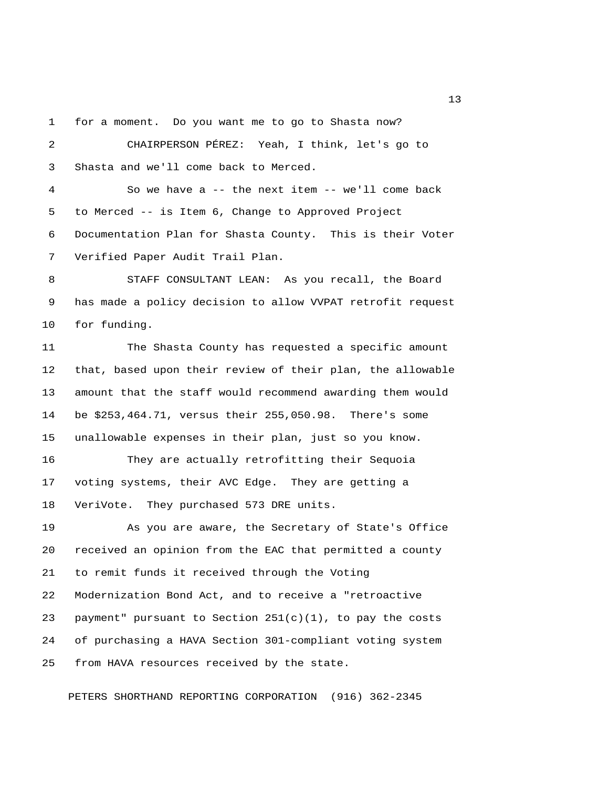1 for a moment. Do you want me to go to Shasta now?

 2 CHAIRPERSON PÉREZ: Yeah, I think, let's go to 3 Shasta and we'll come back to Merced. 4 So we have a -- the next item -- we'll come back 5 to Merced -- is Item 6, Change to Approved Project 6 Documentation Plan for Shasta County. This is their Voter 7 Verified Paper Audit Trail Plan. 8 STAFF CONSULTANT LEAN: As you recall, the Board 9 has made a policy decision to allow VVPAT retrofit request 10 for funding. 11 The Shasta County has requested a specific amount 12 that, based upon their review of their plan, the allowable 13 amount that the staff would recommend awarding them would 14 be \$253,464.71, versus their 255,050.98. There's some 15 unallowable expenses in their plan, just so you know. 16 They are actually retrofitting their Sequoia 17 voting systems, their AVC Edge. They are getting a 18 VeriVote. They purchased 573 DRE units. 19 As you are aware, the Secretary of State's Office 20 received an opinion from the EAC that permitted a county 21 to remit funds it received through the Voting 22 Modernization Bond Act, and to receive a "retroactive 23 payment" pursuant to Section  $251(c)(1)$ , to pay the costs 24 of purchasing a HAVA Section 301-compliant voting system 25 from HAVA resources received by the state.

PETERS SHORTHAND REPORTING CORPORATION (916) 362-2345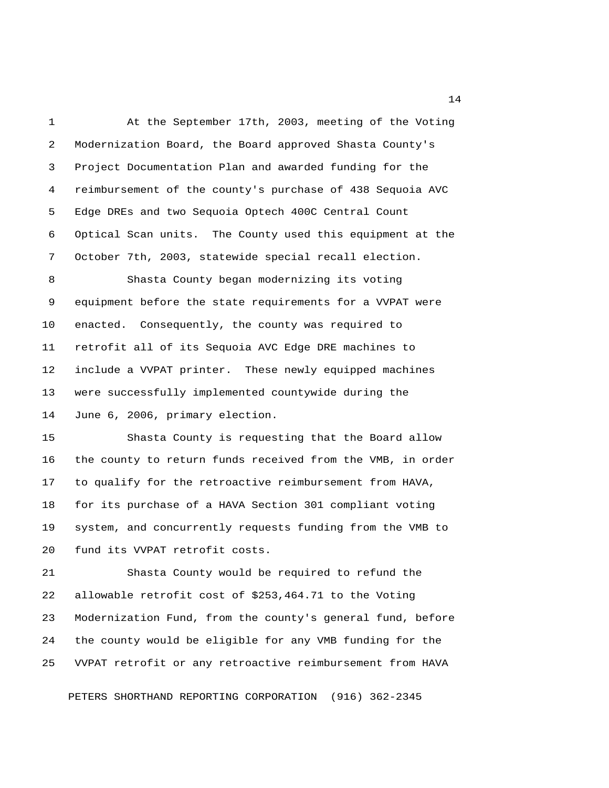1 At the September 17th, 2003, meeting of the Voting 2 Modernization Board, the Board approved Shasta County's 3 Project Documentation Plan and awarded funding for the 4 reimbursement of the county's purchase of 438 Sequoia AVC 5 Edge DREs and two Sequoia Optech 400C Central Count 6 Optical Scan units. The County used this equipment at the 7 October 7th, 2003, statewide special recall election. 8 Shasta County began modernizing its voting 9 equipment before the state requirements for a VVPAT were 10 enacted. Consequently, the county was required to 11 retrofit all of its Sequoia AVC Edge DRE machines to

13 were successfully implemented countywide during the 14 June 6, 2006, primary election.

12 include a VVPAT printer. These newly equipped machines

15 Shasta County is requesting that the Board allow 16 the county to return funds received from the VMB, in order 17 to qualify for the retroactive reimbursement from HAVA, 18 for its purchase of a HAVA Section 301 compliant voting 19 system, and concurrently requests funding from the VMB to 20 fund its VVPAT retrofit costs.

21 Shasta County would be required to refund the 22 allowable retrofit cost of \$253,464.71 to the Voting 23 Modernization Fund, from the county's general fund, before 24 the county would be eligible for any VMB funding for the 25 VVPAT retrofit or any retroactive reimbursement from HAVA

PETERS SHORTHAND REPORTING CORPORATION (916) 362-2345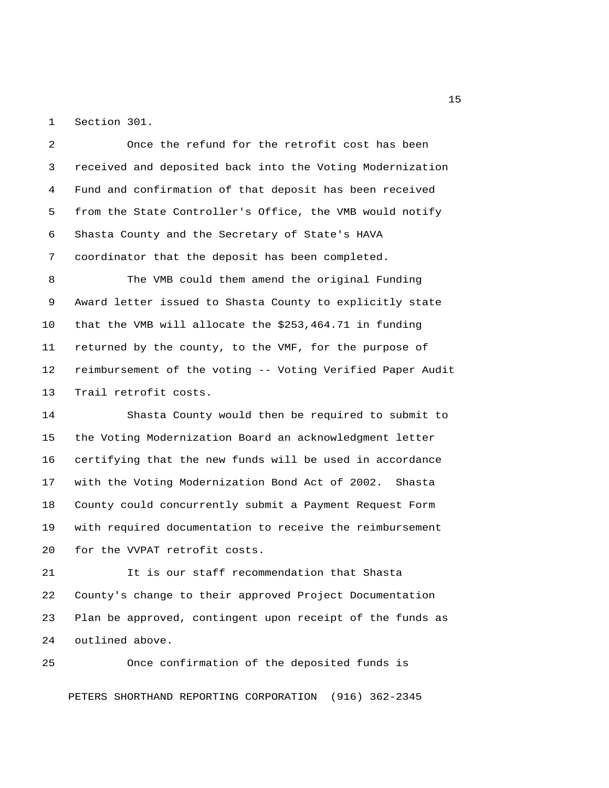1 Section 301.

 2 Once the refund for the retrofit cost has been 3 received and deposited back into the Voting Modernization 4 Fund and confirmation of that deposit has been received 5 from the State Controller's Office, the VMB would notify 6 Shasta County and the Secretary of State's HAVA 7 coordinator that the deposit has been completed.

 8 The VMB could them amend the original Funding 9 Award letter issued to Shasta County to explicitly state 10 that the VMB will allocate the \$253,464.71 in funding 11 returned by the county, to the VMF, for the purpose of 12 reimbursement of the voting -- Voting Verified Paper Audit 13 Trail retrofit costs.

14 Shasta County would then be required to submit to 15 the Voting Modernization Board an acknowledgment letter 16 certifying that the new funds will be used in accordance 17 with the Voting Modernization Bond Act of 2002. Shasta 18 County could concurrently submit a Payment Request Form 19 with required documentation to receive the reimbursement 20 for the VVPAT retrofit costs.

21 It is our staff recommendation that Shasta 22 County's change to their approved Project Documentation 23 Plan be approved, contingent upon receipt of the funds as 24 outlined above.

25 Once confirmation of the deposited funds is

PETERS SHORTHAND REPORTING CORPORATION (916) 362-2345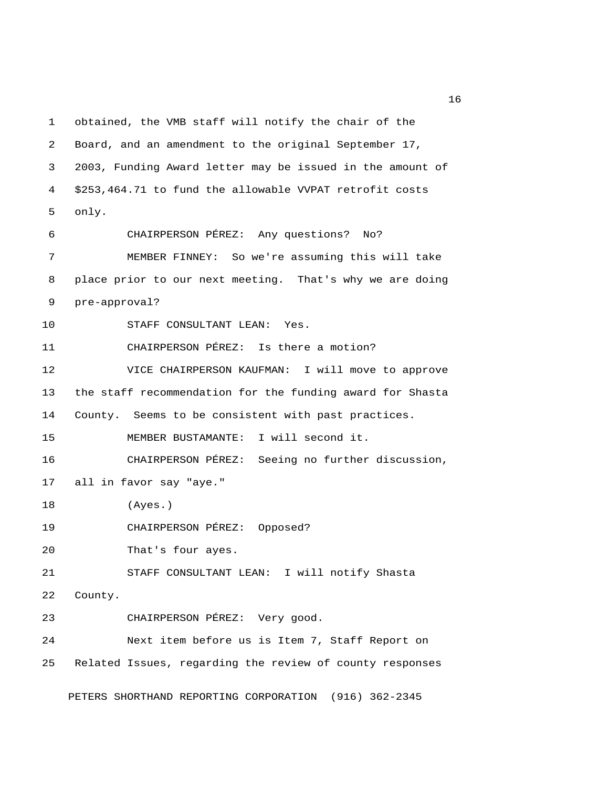1 obtained, the VMB staff will notify the chair of the 2 Board, and an amendment to the original September 17, 3 2003, Funding Award letter may be issued in the amount of 4 \$253,464.71 to fund the allowable VVPAT retrofit costs 5 only. 6 CHAIRPERSON PÉREZ: Any questions? No? 7 MEMBER FINNEY: So we're assuming this will take 8 place prior to our next meeting. That's why we are doing 9 pre-approval? 10 STAFF CONSULTANT LEAN: Yes. 11 CHAIRPERSON PÉREZ: Is there a motion? 12 VICE CHAIRPERSON KAUFMAN: I will move to approve 13 the staff recommendation for the funding award for Shasta 14 County. Seems to be consistent with past practices. 15 MEMBER BUSTAMANTE: I will second it. 16 CHAIRPERSON PÉREZ: Seeing no further discussion, 17 all in favor say "aye." 18 (Ayes.) 19 CHAIRPERSON PÉREZ: Opposed? 20 That's four ayes. 21 STAFF CONSULTANT LEAN: I will notify Shasta 22 County. 23 CHAIRPERSON PÉREZ: Very good. 24 Next item before us is Item 7, Staff Report on 25 Related Issues, regarding the review of county responses

PETERS SHORTHAND REPORTING CORPORATION (916) 362-2345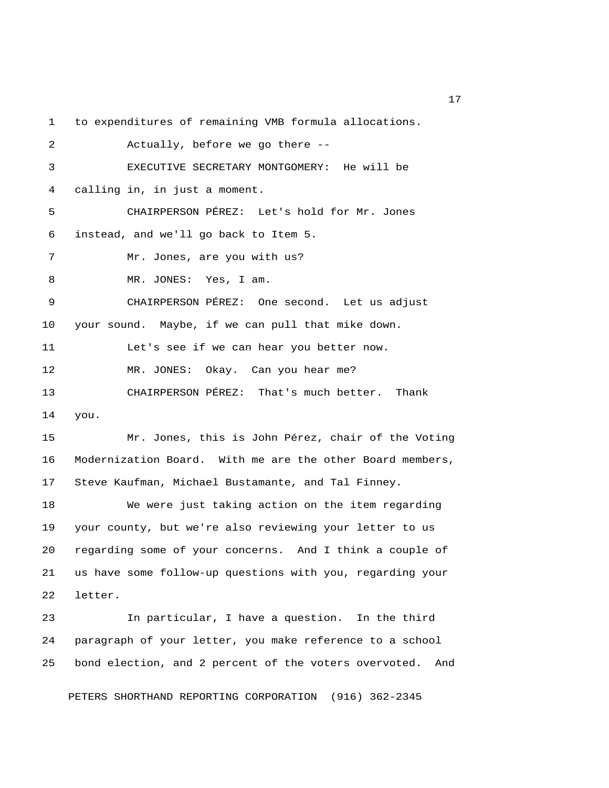1 to expenditures of remaining VMB formula allocations.

| 2  | Actually, before we go there --                    |
|----|----------------------------------------------------|
| 3  | EXECUTIVE SECRETARY MONTGOMERY: He will be         |
| 4  | calling in, in just a moment.                      |
| 5  | CHAIRPERSON PÉREZ: Let's hold for Mr. Jones        |
| 6  | instead, and we'll go back to Item 5.              |
| 7  | Mr. Jones, are you with us?                        |
| 8  | MR. JONES: Yes, I am.                              |
| 9  | CHAIRPERSON PÉREZ: One second. Let us adjust       |
| 10 | your sound. Maybe, if we can pull that mike down.  |
| 11 | Let's see if we can hear you better now.           |
| 12 | MR. JONES: Okay. Can you hear me?                  |
| 13 | CHAIRPERSON PÉREZ: That's much better. Thank       |
| 14 | you.                                               |
| 15 | Mr. Jones, this is John Pérez, chair of the Voting |

16 Modernization Board. With me are the other Board members, 17 Steve Kaufman, Michael Bustamante, and Tal Finney.

18 We were just taking action on the item regarding 19 your county, but we're also reviewing your letter to us 20 regarding some of your concerns. And I think a couple of 21 us have some follow-up questions with you, regarding your 22 letter.

23 In particular, I have a question. In the third 24 paragraph of your letter, you make reference to a school 25 bond election, and 2 percent of the voters overvoted. And

PETERS SHORTHAND REPORTING CORPORATION (916) 362-2345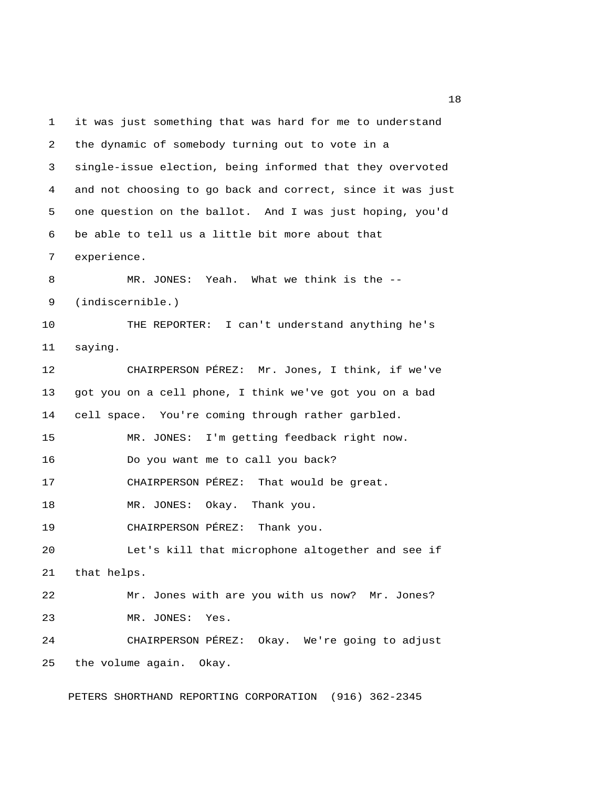1 it was just something that was hard for me to understand 2 the dynamic of somebody turning out to vote in a 3 single-issue election, being informed that they overvoted 4 and not choosing to go back and correct, since it was just 5 one question on the ballot. And I was just hoping, you'd 6 be able to tell us a little bit more about that 7 experience. 8 MR. JONES: Yeah. What we think is the -- 9 (indiscernible.) 10 THE REPORTER: I can't understand anything he's 11 saying. 12 CHAIRPERSON PÉREZ: Mr. Jones, I think, if we've 13 got you on a cell phone, I think we've got you on a bad 14 cell space. You're coming through rather garbled. 15 MR. JONES: I'm getting feedback right now. 16 Do you want me to call you back? 17 CHAIRPERSON PÉREZ: That would be great. 18 MR. JONES: Okay. Thank you. 19 CHAIRPERSON PÉREZ: Thank you. 20 Let's kill that microphone altogether and see if 21 that helps. 22 Mr. Jones with are you with us now? Mr. Jones? 23 MR. JONES: Yes. 24 CHAIRPERSON PÉREZ: Okay. We're going to adjust 25 the volume again. Okay.

PETERS SHORTHAND REPORTING CORPORATION (916) 362-2345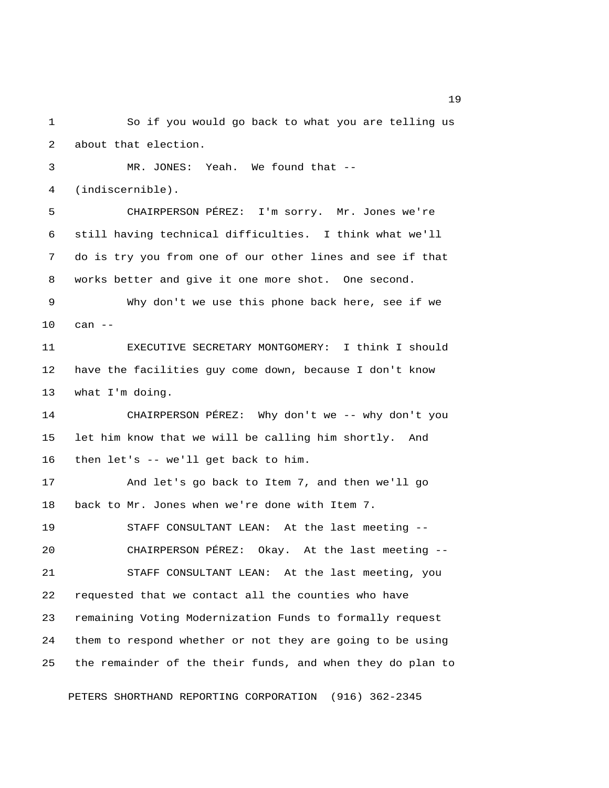1 So if you would go back to what you are telling us 2 about that election. 3 MR. JONES: Yeah. We found that -- 4 (indiscernible). 5 CHAIRPERSON PÉREZ: I'm sorry. Mr. Jones we're 6 still having technical difficulties. I think what we'll 7 do is try you from one of our other lines and see if that 8 works better and give it one more shot. One second. 9 Why don't we use this phone back here, see if we 10 can -- 11 EXECUTIVE SECRETARY MONTGOMERY: I think I should 12 have the facilities guy come down, because I don't know 13 what I'm doing. 14 CHAIRPERSON PÉREZ: Why don't we -- why don't you 15 let him know that we will be calling him shortly. And 16 then let's -- we'll get back to him. 17 And let's go back to Item 7, and then we'll go 18 back to Mr. Jones when we're done with Item 7. 19 STAFF CONSULTANT LEAN: At the last meeting -- 20 CHAIRPERSON PÉREZ: Okay. At the last meeting -- 21 STAFF CONSULTANT LEAN: At the last meeting, you 22 requested that we contact all the counties who have 23 remaining Voting Modernization Funds to formally request 24 them to respond whether or not they are going to be using 25 the remainder of the their funds, and when they do plan to

PETERS SHORTHAND REPORTING CORPORATION (916) 362-2345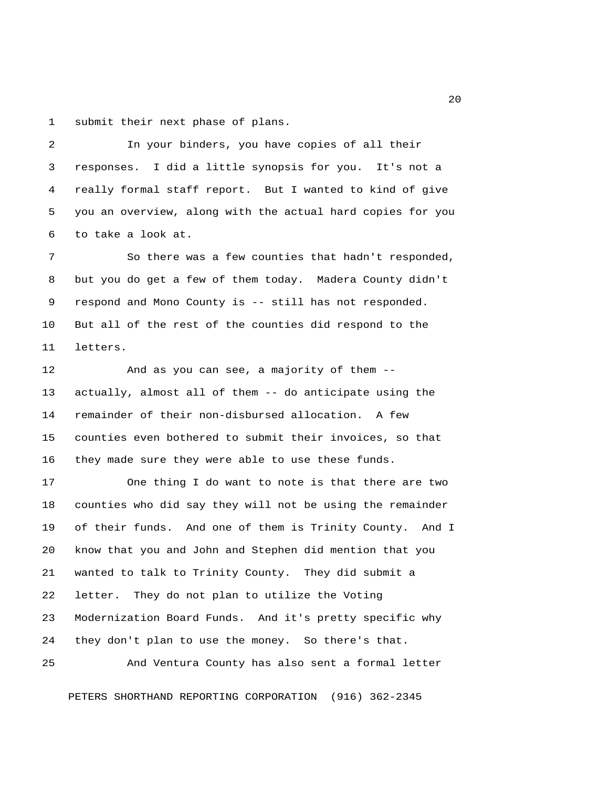1 submit their next phase of plans.

 2 In your binders, you have copies of all their 3 responses. I did a little synopsis for you. It's not a 4 really formal staff report. But I wanted to kind of give 5 you an overview, along with the actual hard copies for you 6 to take a look at.

7 So there was a few counties that hadn't responded, 8 but you do get a few of them today. Madera County didn't 9 respond and Mono County is -- still has not responded. 10 But all of the rest of the counties did respond to the 11 letters.

12 And as you can see, a majority of them -- 13 actually, almost all of them -- do anticipate using the 14 remainder of their non-disbursed allocation. A few 15 counties even bothered to submit their invoices, so that 16 they made sure they were able to use these funds.

17 One thing I do want to note is that there are two 18 counties who did say they will not be using the remainder 19 of their funds. And one of them is Trinity County. And I 20 know that you and John and Stephen did mention that you 21 wanted to talk to Trinity County. They did submit a 22 letter. They do not plan to utilize the Voting 23 Modernization Board Funds. And it's pretty specific why 24 they don't plan to use the money. So there's that.

PETERS SHORTHAND REPORTING CORPORATION (916) 362-2345

25 And Ventura County has also sent a formal letter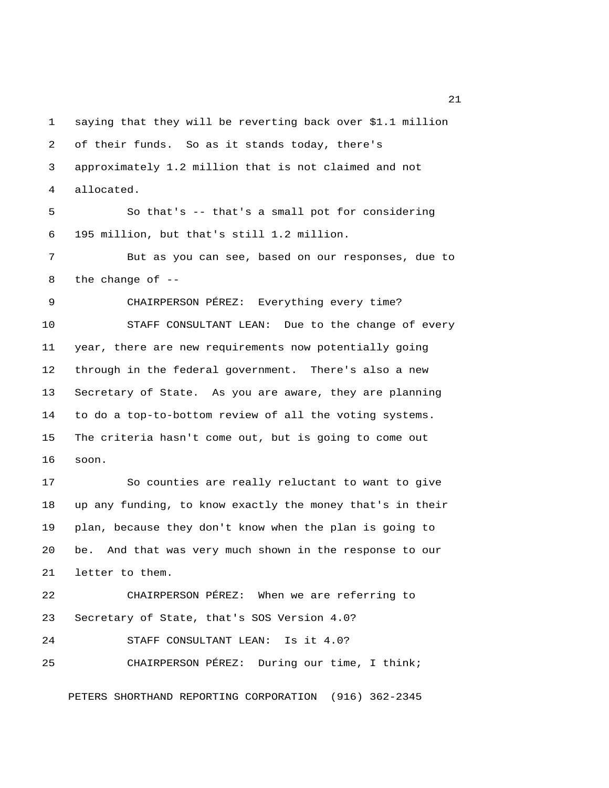1 saying that they will be reverting back over \$1.1 million 2 of their funds. So as it stands today, there's 3 approximately 1.2 million that is not claimed and not 4 allocated. 5 So that's -- that's a small pot for considering 6 195 million, but that's still 1.2 million. 7 But as you can see, based on our responses, due to 8 the change of -- 9 CHAIRPERSON PÉREZ: Everything every time? 10 STAFF CONSULTANT LEAN: Due to the change of every 11 year, there are new requirements now potentially going 12 through in the federal government. There's also a new 13 Secretary of State. As you are aware, they are planning 14 to do a top-to-bottom review of all the voting systems. 15 The criteria hasn't come out, but is going to come out 16 soon. 17 So counties are really reluctant to want to give 18 up any funding, to know exactly the money that's in their 19 plan, because they don't know when the plan is going to 20 be. And that was very much shown in the response to our 21 letter to them. 22 CHAIRPERSON PÉREZ: When we are referring to 23 Secretary of State, that's SOS Version 4.0? 24 STAFF CONSULTANT LEAN: Is it 4.0? 25 CHAIRPERSON PÉREZ: During our time, I think;

PETERS SHORTHAND REPORTING CORPORATION (916) 362-2345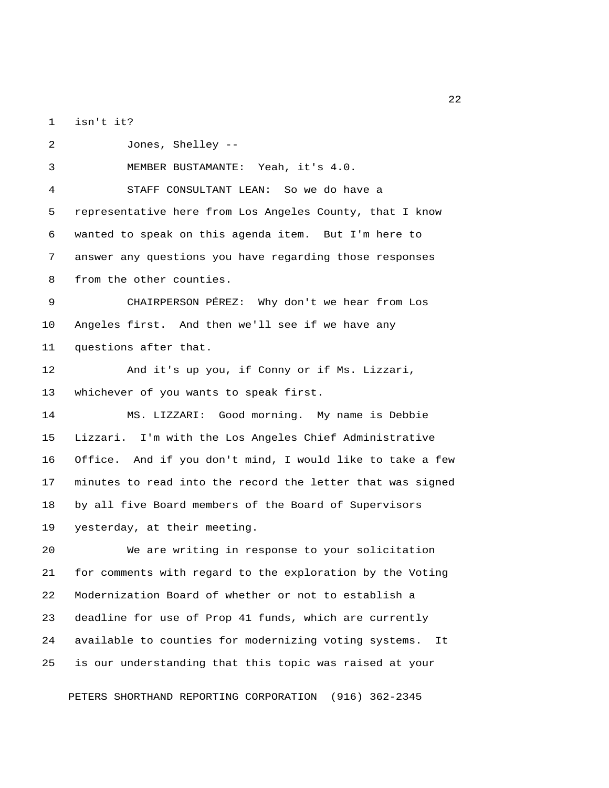1 isn't it?

 2 Jones, Shelley -- 3 MEMBER BUSTAMANTE: Yeah, it's 4.0. 4 STAFF CONSULTANT LEAN: So we do have a 5 representative here from Los Angeles County, that I know 6 wanted to speak on this agenda item. But I'm here to 7 answer any questions you have regarding those responses 8 from the other counties. 9 CHAIRPERSON PÉREZ: Why don't we hear from Los 10 Angeles first. And then we'll see if we have any 11 questions after that. 12 And it's up you, if Conny or if Ms. Lizzari, 13 whichever of you wants to speak first. 14 MS. LIZZARI: Good morning. My name is Debbie 15 Lizzari. I'm with the Los Angeles Chief Administrative 16 Office. And if you don't mind, I would like to take a few 17 minutes to read into the record the letter that was signed 18 by all five Board members of the Board of Supervisors 19 yesterday, at their meeting. 20 We are writing in response to your solicitation 21 for comments with regard to the exploration by the Voting 22 Modernization Board of whether or not to establish a 23 deadline for use of Prop 41 funds, which are currently 24 available to counties for modernizing voting systems. It 25 is our understanding that this topic was raised at your

PETERS SHORTHAND REPORTING CORPORATION (916) 362-2345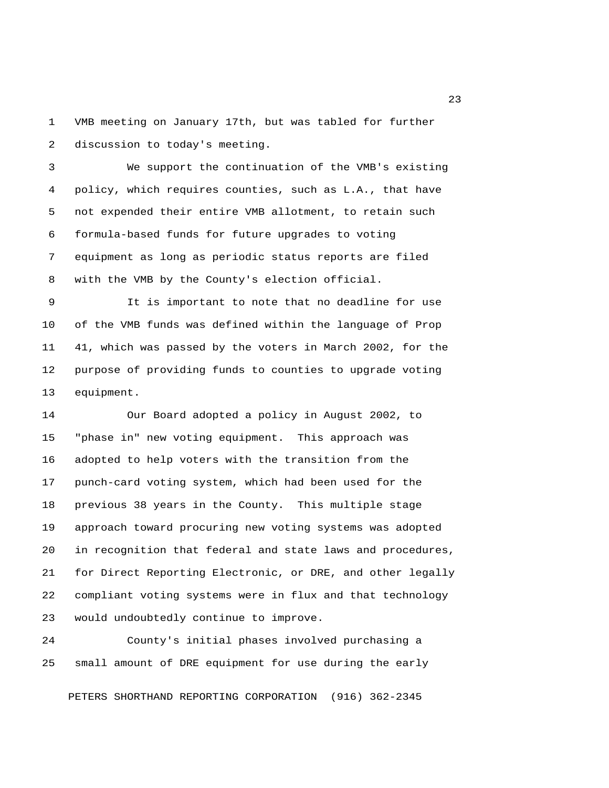1 VMB meeting on January 17th, but was tabled for further 2 discussion to today's meeting.

 3 We support the continuation of the VMB's existing 4 policy, which requires counties, such as L.A., that have 5 not expended their entire VMB allotment, to retain such 6 formula-based funds for future upgrades to voting 7 equipment as long as periodic status reports are filed 8 with the VMB by the County's election official.

 9 It is important to note that no deadline for use 10 of the VMB funds was defined within the language of Prop 11 41, which was passed by the voters in March 2002, for the 12 purpose of providing funds to counties to upgrade voting 13 equipment.

14 Our Board adopted a policy in August 2002, to 15 "phase in" new voting equipment. This approach was 16 adopted to help voters with the transition from the 17 punch-card voting system, which had been used for the 18 previous 38 years in the County. This multiple stage 19 approach toward procuring new voting systems was adopted 20 in recognition that federal and state laws and procedures, 21 for Direct Reporting Electronic, or DRE, and other legally 22 compliant voting systems were in flux and that technology 23 would undoubtedly continue to improve.

24 County's initial phases involved purchasing a 25 small amount of DRE equipment for use during the early

PETERS SHORTHAND REPORTING CORPORATION (916) 362-2345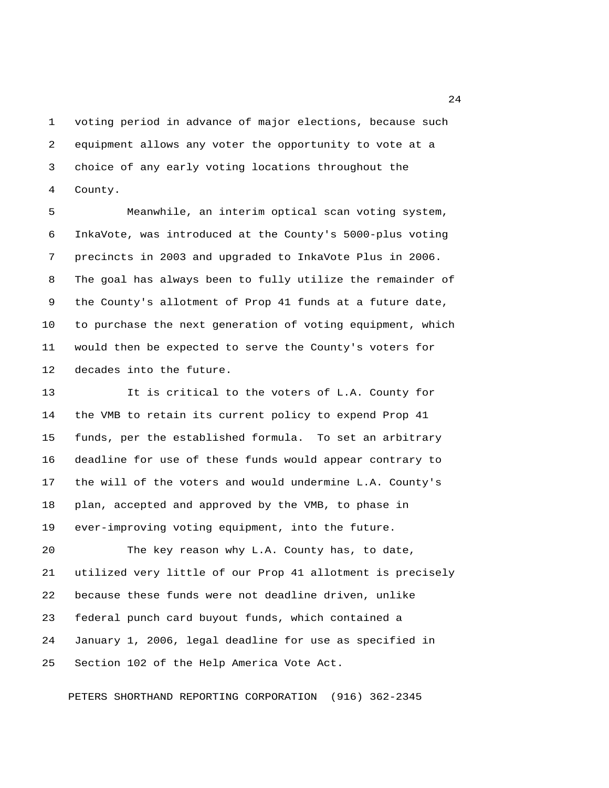1 voting period in advance of major elections, because such 2 equipment allows any voter the opportunity to vote at a 3 choice of any early voting locations throughout the 4 County.

 5 Meanwhile, an interim optical scan voting system, 6 InkaVote, was introduced at the County's 5000-plus voting 7 precincts in 2003 and upgraded to InkaVote Plus in 2006. 8 The goal has always been to fully utilize the remainder of 9 the County's allotment of Prop 41 funds at a future date, 10 to purchase the next generation of voting equipment, which 11 would then be expected to serve the County's voters for 12 decades into the future.

13 It is critical to the voters of L.A. County for 14 the VMB to retain its current policy to expend Prop 41 15 funds, per the established formula. To set an arbitrary 16 deadline for use of these funds would appear contrary to 17 the will of the voters and would undermine L.A. County's 18 plan, accepted and approved by the VMB, to phase in 19 ever-improving voting equipment, into the future.

20 The key reason why L.A. County has, to date, 21 utilized very little of our Prop 41 allotment is precisely 22 because these funds were not deadline driven, unlike 23 federal punch card buyout funds, which contained a 24 January 1, 2006, legal deadline for use as specified in 25 Section 102 of the Help America Vote Act.

PETERS SHORTHAND REPORTING CORPORATION (916) 362-2345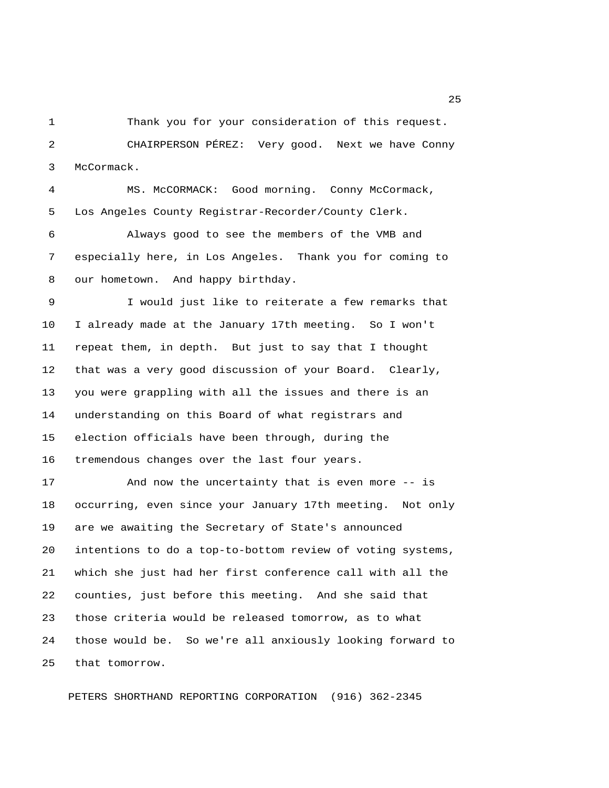1 Thank you for your consideration of this request.

 2 CHAIRPERSON PÉREZ: Very good. Next we have Conny 3 McCormack.

 4 MS. McCORMACK: Good morning. Conny McCormack, 5 Los Angeles County Registrar-Recorder/County Clerk.

 6 Always good to see the members of the VMB and 7 especially here, in Los Angeles. Thank you for coming to 8 our hometown. And happy birthday.

 9 I would just like to reiterate a few remarks that 10 I already made at the January 17th meeting. So I won't 11 repeat them, in depth. But just to say that I thought 12 that was a very good discussion of your Board. Clearly, 13 you were grappling with all the issues and there is an 14 understanding on this Board of what registrars and 15 election officials have been through, during the 16 tremendous changes over the last four years.

17 And now the uncertainty that is even more -- is 18 occurring, even since your January 17th meeting. Not only 19 are we awaiting the Secretary of State's announced 20 intentions to do a top-to-bottom review of voting systems, 21 which she just had her first conference call with all the 22 counties, just before this meeting. And she said that 23 those criteria would be released tomorrow, as to what 24 those would be. So we're all anxiously looking forward to 25 that tomorrow.

PETERS SHORTHAND REPORTING CORPORATION (916) 362-2345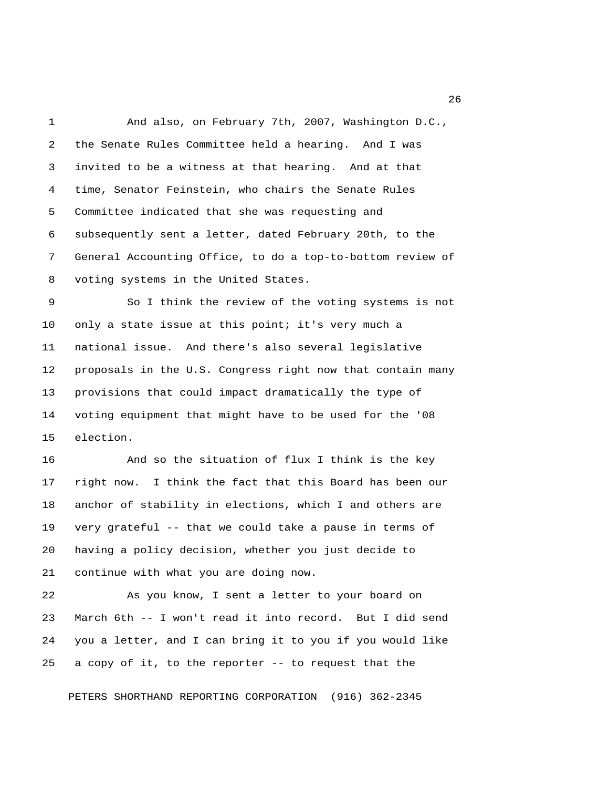1 And also, on February 7th, 2007, Washington D.C., 2 the Senate Rules Committee held a hearing. And I was 3 invited to be a witness at that hearing. And at that 4 time, Senator Feinstein, who chairs the Senate Rules 5 Committee indicated that she was requesting and 6 subsequently sent a letter, dated February 20th, to the 7 General Accounting Office, to do a top-to-bottom review of 8 voting systems in the United States.

 9 So I think the review of the voting systems is not 10 only a state issue at this point; it's very much a 11 national issue. And there's also several legislative 12 proposals in the U.S. Congress right now that contain many 13 provisions that could impact dramatically the type of 14 voting equipment that might have to be used for the '08 15 election.

16 And so the situation of flux I think is the key 17 right now. I think the fact that this Board has been our 18 anchor of stability in elections, which I and others are 19 very grateful -- that we could take a pause in terms of 20 having a policy decision, whether you just decide to 21 continue with what you are doing now.

22 As you know, I sent a letter to your board on 23 March 6th -- I won't read it into record. But I did send 24 you a letter, and I can bring it to you if you would like 25 a copy of it, to the reporter -- to request that the

PETERS SHORTHAND REPORTING CORPORATION (916) 362-2345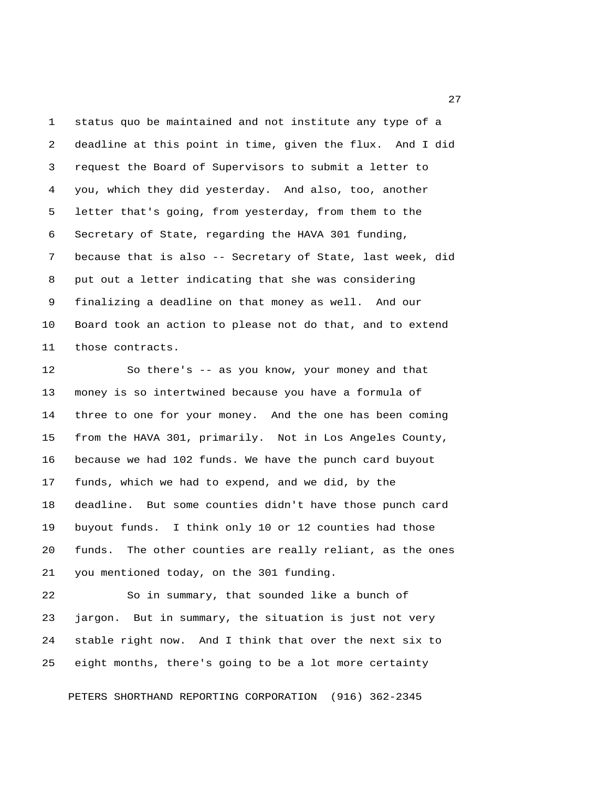1 status quo be maintained and not institute any type of a 2 deadline at this point in time, given the flux. And I did 3 request the Board of Supervisors to submit a letter to 4 you, which they did yesterday. And also, too, another 5 letter that's going, from yesterday, from them to the 6 Secretary of State, regarding the HAVA 301 funding, 7 because that is also -- Secretary of State, last week, did 8 put out a letter indicating that she was considering 9 finalizing a deadline on that money as well. And our 10 Board took an action to please not do that, and to extend 11 those contracts.

12 So there's -- as you know, your money and that 13 money is so intertwined because you have a formula of 14 three to one for your money. And the one has been coming 15 from the HAVA 301, primarily. Not in Los Angeles County, 16 because we had 102 funds. We have the punch card buyout 17 funds, which we had to expend, and we did, by the 18 deadline. But some counties didn't have those punch card 19 buyout funds. I think only 10 or 12 counties had those 20 funds. The other counties are really reliant, as the ones 21 you mentioned today, on the 301 funding.

22 So in summary, that sounded like a bunch of 23 jargon. But in summary, the situation is just not very 24 stable right now. And I think that over the next six to 25 eight months, there's going to be a lot more certainty

PETERS SHORTHAND REPORTING CORPORATION (916) 362-2345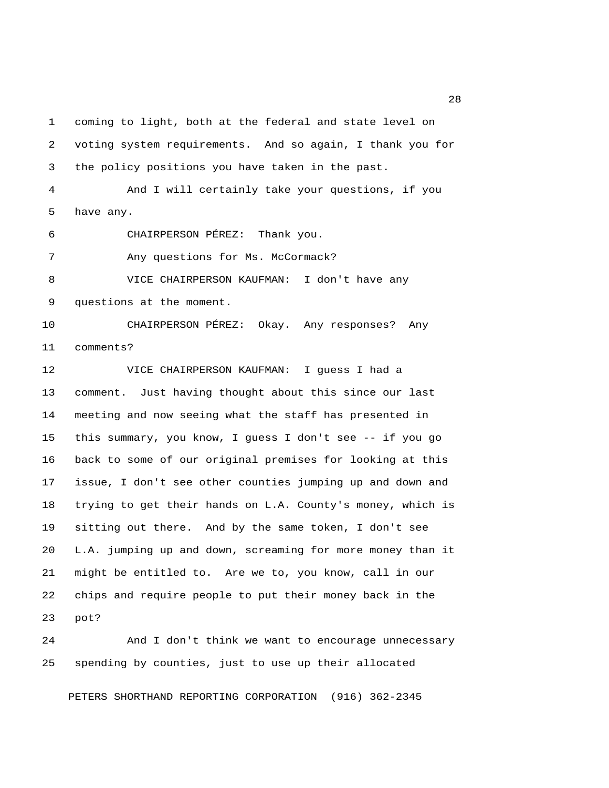1 coming to light, both at the federal and state level on 2 voting system requirements. And so again, I thank you for 3 the policy positions you have taken in the past. 4 And I will certainly take your questions, if you 5 have any. 6 CHAIRPERSON PÉREZ: Thank you. 7 Any questions for Ms. McCormack? 8 VICE CHAIRPERSON KAUFMAN: I don't have any 9 questions at the moment. 10 CHAIRPERSON PÉREZ: Okay. Any responses? Any 11 comments? 12 VICE CHAIRPERSON KAUFMAN: I guess I had a 13 comment. Just having thought about this since our last 14 meeting and now seeing what the staff has presented in 15 this summary, you know, I guess I don't see -- if you go 16 back to some of our original premises for looking at this 17 issue, I don't see other counties jumping up and down and 18 trying to get their hands on L.A. County's money, which is 19 sitting out there. And by the same token, I don't see 20 L.A. jumping up and down, screaming for more money than it 21 might be entitled to. Are we to, you know, call in our 22 chips and require people to put their money back in the 23 pot?

24 And I don't think we want to encourage unnecessary 25 spending by counties, just to use up their allocated

PETERS SHORTHAND REPORTING CORPORATION (916) 362-2345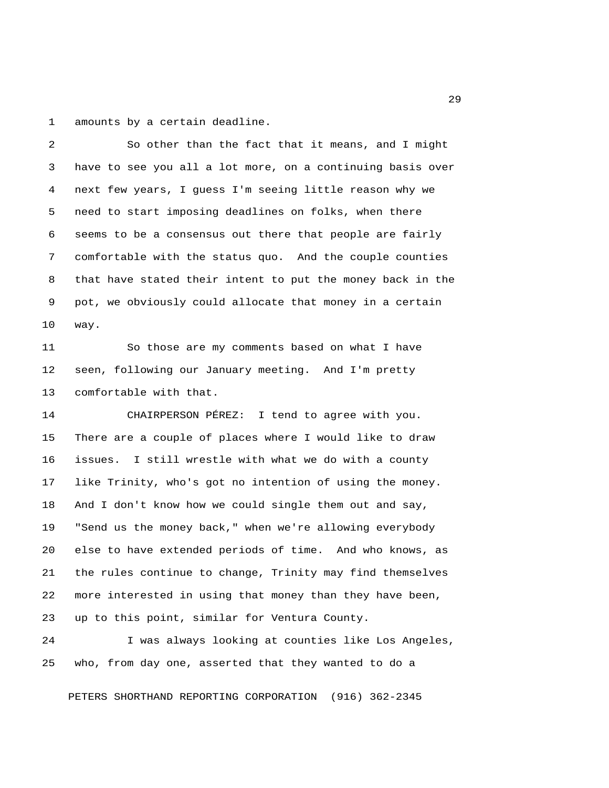1 amounts by a certain deadline.

 2 So other than the fact that it means, and I might 3 have to see you all a lot more, on a continuing basis over 4 next few years, I guess I'm seeing little reason why we 5 need to start imposing deadlines on folks, when there 6 seems to be a consensus out there that people are fairly 7 comfortable with the status quo. And the couple counties 8 that have stated their intent to put the money back in the 9 pot, we obviously could allocate that money in a certain 10 way. 11 So those are my comments based on what I have 12 seen, following our January meeting. And I'm pretty 13 comfortable with that. 14 CHAIRPERSON PÉREZ: I tend to agree with you. 15 There are a couple of places where I would like to draw 16 issues. I still wrestle with what we do with a county 17 like Trinity, who's got no intention of using the money. 18 And I don't know how we could single them out and say, 19 "Send us the money back," when we're allowing everybody 20 else to have extended periods of time. And who knows, as 21 the rules continue to change, Trinity may find themselves 22 more interested in using that money than they have been, 23 up to this point, similar for Ventura County.

24 I was always looking at counties like Los Angeles, 25 who, from day one, asserted that they wanted to do a

PETERS SHORTHAND REPORTING CORPORATION (916) 362-2345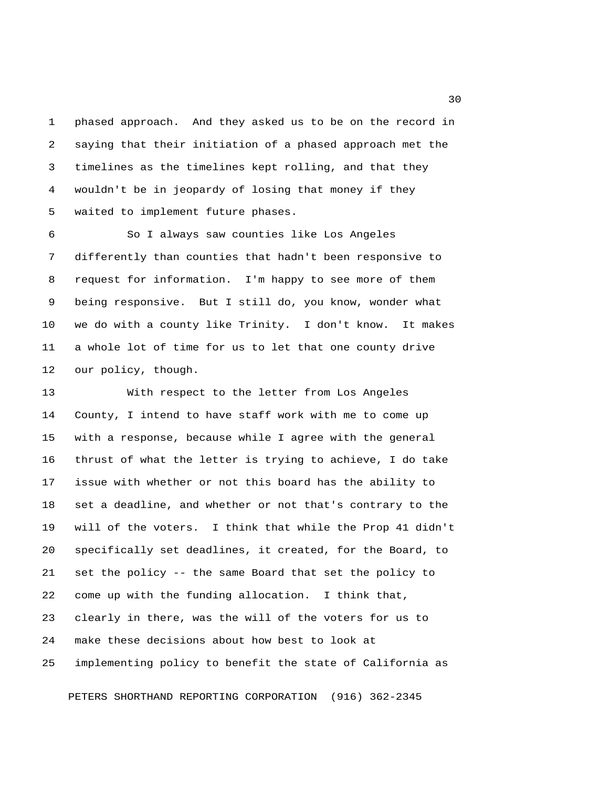1 phased approach. And they asked us to be on the record in 2 saying that their initiation of a phased approach met the 3 timelines as the timelines kept rolling, and that they 4 wouldn't be in jeopardy of losing that money if they 5 waited to implement future phases.

 6 So I always saw counties like Los Angeles 7 differently than counties that hadn't been responsive to 8 request for information. I'm happy to see more of them 9 being responsive. But I still do, you know, wonder what 10 we do with a county like Trinity. I don't know. It makes 11 a whole lot of time for us to let that one county drive 12 our policy, though.

13 With respect to the letter from Los Angeles 14 County, I intend to have staff work with me to come up 15 with a response, because while I agree with the general 16 thrust of what the letter is trying to achieve, I do take 17 issue with whether or not this board has the ability to 18 set a deadline, and whether or not that's contrary to the 19 will of the voters. I think that while the Prop 41 didn't 20 specifically set deadlines, it created, for the Board, to 21 set the policy -- the same Board that set the policy to 22 come up with the funding allocation. I think that, 23 clearly in there, was the will of the voters for us to 24 make these decisions about how best to look at 25 implementing policy to benefit the state of California as

PETERS SHORTHAND REPORTING CORPORATION (916) 362-2345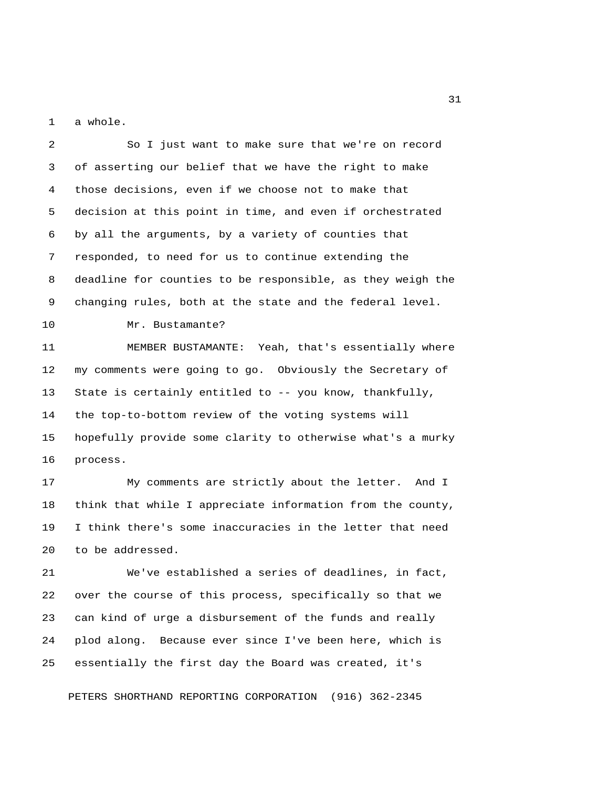1 a whole.

 3 of asserting our belief that we have the right to make 4 those decisions, even if we choose not to make that 5 decision at this point in time, and even if orchestrated 6 by all the arguments, by a variety of counties that 7 responded, to need for us to continue extending the 8 deadline for counties to be responsible, as they weigh the 9 changing rules, both at the state and the federal level. 10 Mr. Bustamante? 11 MEMBER BUSTAMANTE: Yeah, that's essentially where 12 my comments were going to go. Obviously the Secretary of 13 State is certainly entitled to -- you know, thankfully, 14 the top-to-bottom review of the voting systems will 15 hopefully provide some clarity to otherwise what's a murky 16 process. 17 My comments are strictly about the letter. And I 18 think that while I appreciate information from the county, 19 I think there's some inaccuracies in the letter that need 20 to be addressed. 21 We've established a series of deadlines, in fact, 22 over the course of this process, specifically so that we 23 can kind of urge a disbursement of the funds and really 24 plod along. Because ever since I've been here, which is 25 essentially the first day the Board was created, it's

2 So I just want to make sure that we're on record

PETERS SHORTHAND REPORTING CORPORATION (916) 362-2345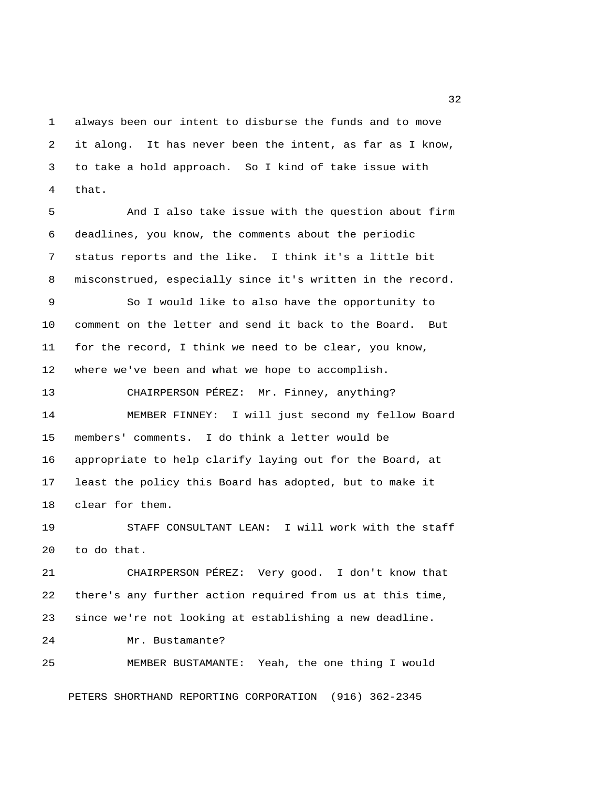1 always been our intent to disburse the funds and to move 2 it along. It has never been the intent, as far as I know, 3 to take a hold approach. So I kind of take issue with 4 that.

 5 And I also take issue with the question about firm 6 deadlines, you know, the comments about the periodic 7 status reports and the like. I think it's a little bit 8 misconstrued, especially since it's written in the record.

 9 So I would like to also have the opportunity to 10 comment on the letter and send it back to the Board. But 11 for the record, I think we need to be clear, you know, 12 where we've been and what we hope to accomplish.

13 CHAIRPERSON PÉREZ: Mr. Finney, anything? 14 MEMBER FINNEY: I will just second my fellow Board 15 members' comments. I do think a letter would be 16 appropriate to help clarify laying out for the Board, at 17 least the policy this Board has adopted, but to make it 18 clear for them.

19 STAFF CONSULTANT LEAN: I will work with the staff 20 to do that.

21 CHAIRPERSON PÉREZ: Very good. I don't know that 22 there's any further action required from us at this time, 23 since we're not looking at establishing a new deadline.

24 Mr. Bustamante?

25 MEMBER BUSTAMANTE: Yeah, the one thing I would

PETERS SHORTHAND REPORTING CORPORATION (916) 362-2345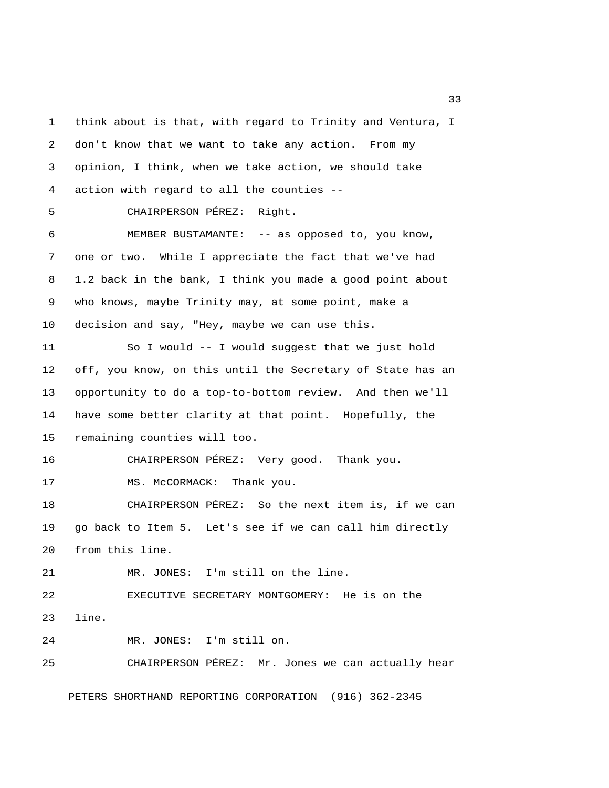1 think about is that, with regard to Trinity and Ventura, I 2 don't know that we want to take any action. From my 3 opinion, I think, when we take action, we should take 4 action with regard to all the counties -- 5 CHAIRPERSON PÉREZ: Right. 6 MEMBER BUSTAMANTE: -- as opposed to, you know, 7 one or two. While I appreciate the fact that we've had 8 1.2 back in the bank, I think you made a good point about 9 who knows, maybe Trinity may, at some point, make a 10 decision and say, "Hey, maybe we can use this. 11 So I would -- I would suggest that we just hold 12 off, you know, on this until the Secretary of State has an 13 opportunity to do a top-to-bottom review. And then we'll 14 have some better clarity at that point. Hopefully, the 15 remaining counties will too. 16 CHAIRPERSON PÉREZ: Very good. Thank you. 17 MS. McCORMACK: Thank you. 18 CHAIRPERSON PÉREZ: So the next item is, if we can 19 go back to Item 5. Let's see if we can call him directly 20 from this line. 21 MR. JONES: I'm still on the line. 22 EXECUTIVE SECRETARY MONTGOMERY: He is on the 23 line. 24 MR. JONES: I'm still on. 25 CHAIRPERSON PÉREZ: Mr. Jones we can actually hear PETERS SHORTHAND REPORTING CORPORATION (916) 362-2345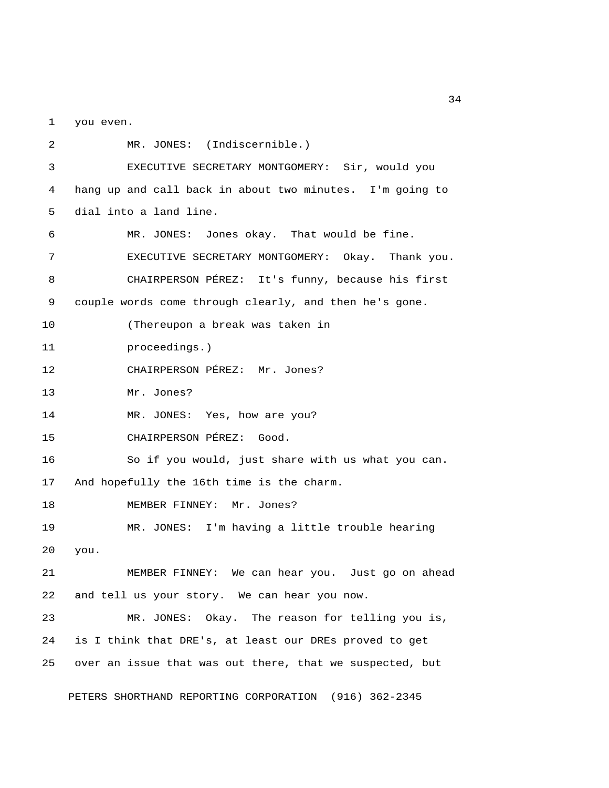1 you even.

 2 MR. JONES: (Indiscernible.) 3 EXECUTIVE SECRETARY MONTGOMERY: Sir, would you 4 hang up and call back in about two minutes. I'm going to 5 dial into a land line. 6 MR. JONES: Jones okay. That would be fine. 7 EXECUTIVE SECRETARY MONTGOMERY: Okay. Thank you. 8 CHAIRPERSON PÉREZ: It's funny, because his first 9 couple words come through clearly, and then he's gone. 10 (Thereupon a break was taken in 11 proceedings.) 12 CHAIRPERSON PÉREZ: Mr. Jones? 13 Mr. Jones? 14 MR. JONES: Yes, how are you? 15 CHAIRPERSON PÉREZ: Good. 16 So if you would, just share with us what you can. 17 And hopefully the 16th time is the charm. 18 MEMBER FINNEY: Mr. Jones? 19 MR. JONES: I'm having a little trouble hearing 20 you. 21 MEMBER FINNEY: We can hear you. Just go on ahead 22 and tell us your story. We can hear you now. 23 MR. JONES: Okay. The reason for telling you is, 24 is I think that DRE's, at least our DREs proved to get 25 over an issue that was out there, that we suspected, but

PETERS SHORTHAND REPORTING CORPORATION (916) 362-2345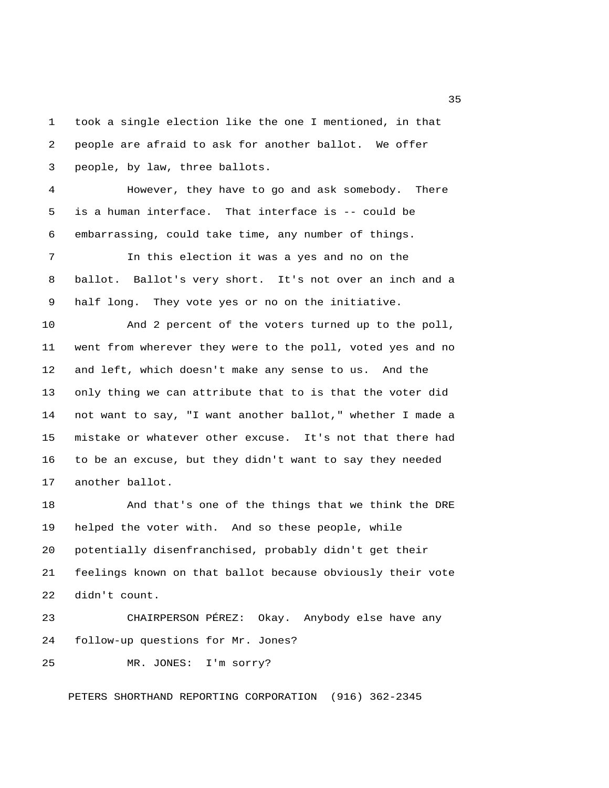1 took a single election like the one I mentioned, in that 2 people are afraid to ask for another ballot. We offer 3 people, by law, three ballots. 4 However, they have to go and ask somebody. There 5 is a human interface. That interface is -- could be 6 embarrassing, could take time, any number of things.

 7 In this election it was a yes and no on the 8 ballot. Ballot's very short. It's not over an inch and a 9 half long. They vote yes or no on the initiative.

10 And 2 percent of the voters turned up to the poll, 11 went from wherever they were to the poll, voted yes and no 12 and left, which doesn't make any sense to us. And the 13 only thing we can attribute that to is that the voter did 14 not want to say, "I want another ballot," whether I made a 15 mistake or whatever other excuse. It's not that there had 16 to be an excuse, but they didn't want to say they needed 17 another ballot.

18 And that's one of the things that we think the DRE 19 helped the voter with. And so these people, while 20 potentially disenfranchised, probably didn't get their 21 feelings known on that ballot because obviously their vote 22 didn't count.

23 CHAIRPERSON PÉREZ: Okay. Anybody else have any 24 follow-up questions for Mr. Jones?

25 MR. JONES: I'm sorry?

PETERS SHORTHAND REPORTING CORPORATION (916) 362-2345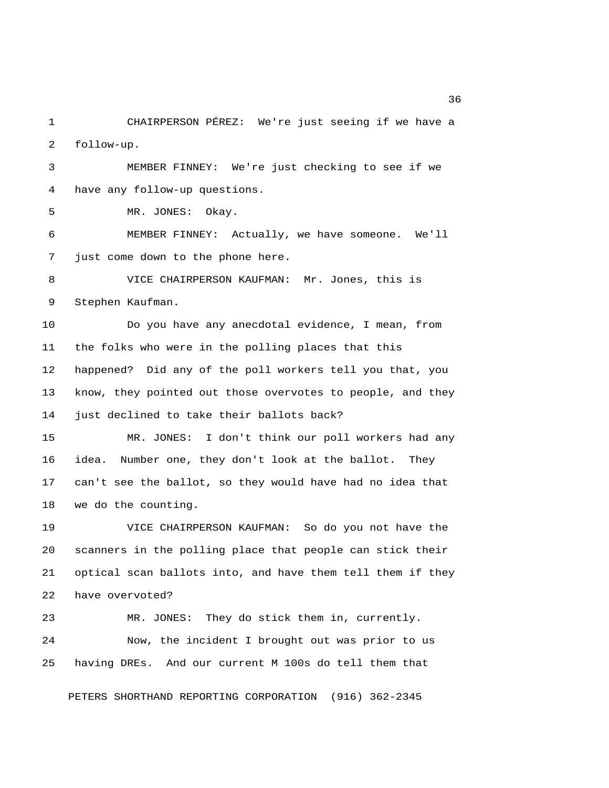1 CHAIRPERSON PÉREZ: We're just seeing if we have a 2 follow-up.

 3 MEMBER FINNEY: We're just checking to see if we 4 have any follow-up questions.

5 MR. JONES: Okay.

 6 MEMBER FINNEY: Actually, we have someone. We'll 7 just come down to the phone here.

 8 VICE CHAIRPERSON KAUFMAN: Mr. Jones, this is 9 Stephen Kaufman.

10 Do you have any anecdotal evidence, I mean, from 11 the folks who were in the polling places that this 12 happened? Did any of the poll workers tell you that, you 13 know, they pointed out those overvotes to people, and they 14 just declined to take their ballots back?

15 MR. JONES: I don't think our poll workers had any 16 idea. Number one, they don't look at the ballot. They 17 can't see the ballot, so they would have had no idea that 18 we do the counting.

19 VICE CHAIRPERSON KAUFMAN: So do you not have the 20 scanners in the polling place that people can stick their 21 optical scan ballots into, and have them tell them if they 22 have overvoted?

23 MR. JONES: They do stick them in, currently. 24 Now, the incident I brought out was prior to us 25 having DREs. And our current M 100s do tell them that

PETERS SHORTHAND REPORTING CORPORATION (916) 362-2345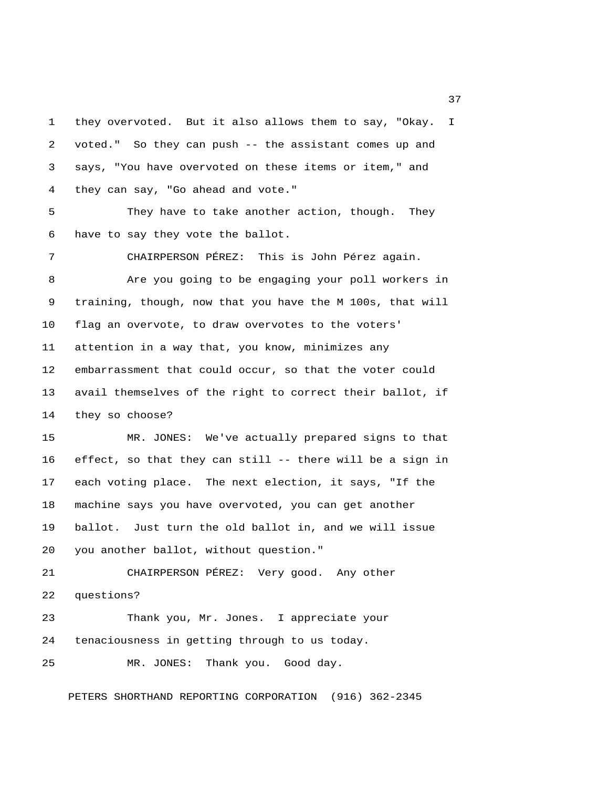1 they overvoted. But it also allows them to say, "Okay. I 2 voted." So they can push -- the assistant comes up and 3 says, "You have overvoted on these items or item," and 4 they can say, "Go ahead and vote."

 5 They have to take another action, though. They 6 have to say they vote the ballot.

 7 CHAIRPERSON PÉREZ: This is John Pérez again. 8 Are you going to be engaging your poll workers in 9 training, though, now that you have the M 100s, that will 10 flag an overvote, to draw overvotes to the voters' 11 attention in a way that, you know, minimizes any 12 embarrassment that could occur, so that the voter could 13 avail themselves of the right to correct their ballot, if 14 they so choose?

15 MR. JONES: We've actually prepared signs to that 16 effect, so that they can still -- there will be a sign in 17 each voting place. The next election, it says, "If the 18 machine says you have overvoted, you can get another 19 ballot. Just turn the old ballot in, and we will issue 20 you another ballot, without question."

21 CHAIRPERSON PÉREZ: Very good. Any other 22 questions? 23 Thank you, Mr. Jones. I appreciate your

24 tenaciousness in getting through to us today.

25 MR. JONES: Thank you. Good day.

PETERS SHORTHAND REPORTING CORPORATION (916) 362-2345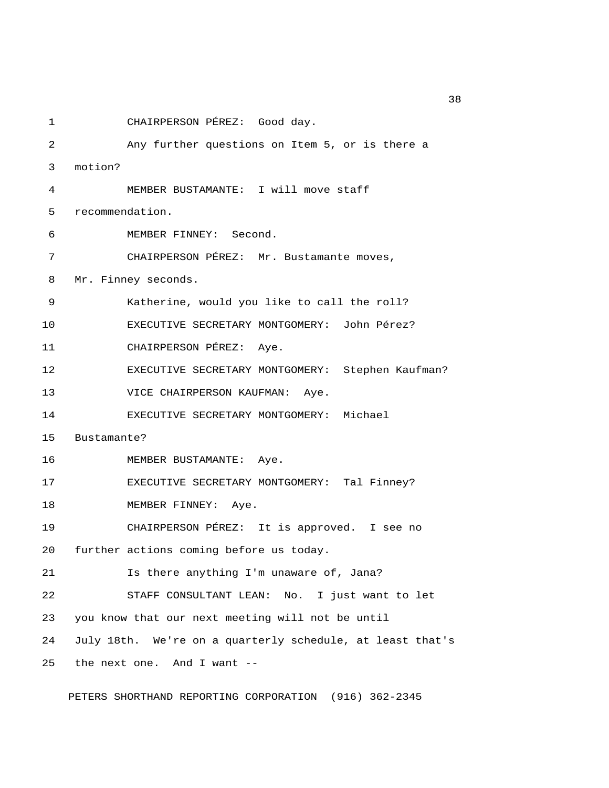1 CHAIRPERSON PÉREZ: Good day. 2 Any further questions on Item 5, or is there a 3 motion? 4 MEMBER BUSTAMANTE: I will move staff 5 recommendation. 6 MEMBER FINNEY: Second. 7 CHAIRPERSON PÉREZ: Mr. Bustamante moves, 8 Mr. Finney seconds. 9 Katherine, would you like to call the roll? 10 EXECUTIVE SECRETARY MONTGOMERY: John Pérez? 11 CHAIRPERSON PÉREZ: Aye. 12 EXECUTIVE SECRETARY MONTGOMERY: Stephen Kaufman? 13 VICE CHAIRPERSON KAUFMAN: Aye. 14 EXECUTIVE SECRETARY MONTGOMERY: Michael 15 Bustamante? 16 MEMBER BUSTAMANTE: Aye. 17 EXECUTIVE SECRETARY MONTGOMERY: Tal Finney? 18 MEMBER FINNEY: Aye. 19 CHAIRPERSON PÉREZ: It is approved. I see no 20 further actions coming before us today. 21 Is there anything I'm unaware of, Jana? 22 STAFF CONSULTANT LEAN: No. I just want to let 23 you know that our next meeting will not be until 24 July 18th. We're on a quarterly schedule, at least that's 25 the next one. And I want --

PETERS SHORTHAND REPORTING CORPORATION (916) 362-2345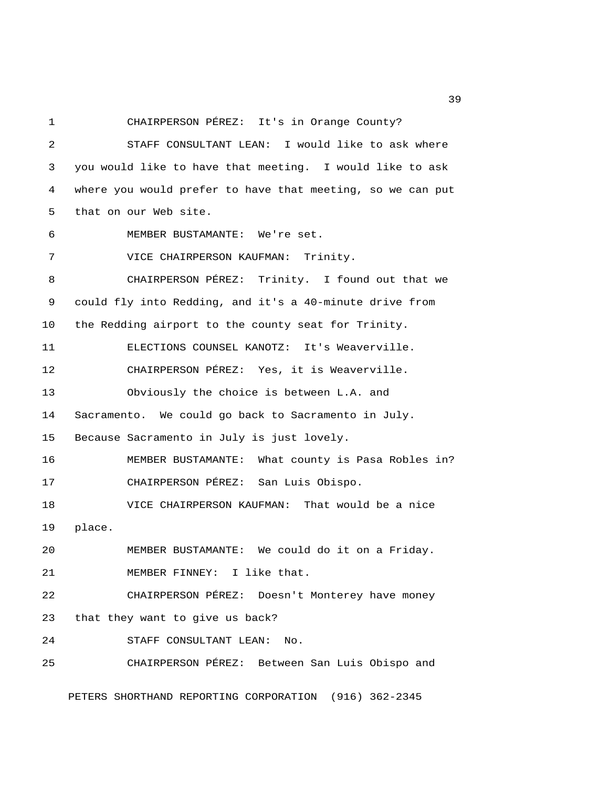1 CHAIRPERSON PÉREZ: It's in Orange County? 2 STAFF CONSULTANT LEAN: I would like to ask where 3 you would like to have that meeting. I would like to ask 4 where you would prefer to have that meeting, so we can put 5 that on our Web site. 6 MEMBER BUSTAMANTE: We're set. 7 VICE CHAIRPERSON KAUFMAN: Trinity. 8 CHAIRPERSON PÉREZ: Trinity. I found out that we 9 could fly into Redding, and it's a 40-minute drive from 10 the Redding airport to the county seat for Trinity. 11 ELECTIONS COUNSEL KANOTZ: It's Weaverville. 12 CHAIRPERSON PÉREZ: Yes, it is Weaverville. 13 Obviously the choice is between L.A. and 14 Sacramento. We could go back to Sacramento in July. 15 Because Sacramento in July is just lovely. 16 MEMBER BUSTAMANTE: What county is Pasa Robles in? 17 CHAIRPERSON PÉREZ: San Luis Obispo. 18 VICE CHAIRPERSON KAUFMAN: That would be a nice 19 place. 20 MEMBER BUSTAMANTE: We could do it on a Friday. 21 MEMBER FINNEY: I like that. 22 CHAIRPERSON PÉREZ: Doesn't Monterey have money 23 that they want to give us back? 24 STAFF CONSULTANT LEAN: No. 25 CHAIRPERSON PÉREZ: Between San Luis Obispo and

PETERS SHORTHAND REPORTING CORPORATION (916) 362-2345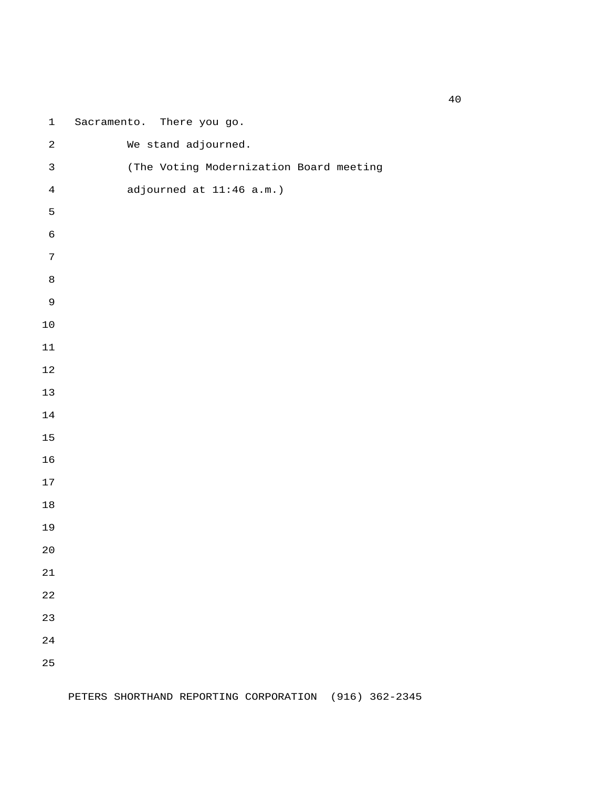| $\mathbf 1$    | Sacramento. There you go.               |
|----------------|-----------------------------------------|
| $\sqrt{2}$     | We stand adjourned.                     |
| $\mathfrak{Z}$ | (The Voting Modernization Board meeting |
| $\,4$          | adjourned at 11:46 a.m.)                |
| $\mathsf S$    |                                         |
| $\epsilon$     |                                         |
| $\sqrt{ }$     |                                         |
| $\,8\,$        |                                         |
| $\mathsf 9$    |                                         |
| $1\,0$         |                                         |
| $11\,$         |                                         |
| $1\,2$         |                                         |
| $13$           |                                         |
| $1\,4$         |                                         |
| $15\,$         |                                         |
| 16             |                                         |
| $17\,$         |                                         |
| $1\,8$         |                                         |
| 19             |                                         |
| $20$           |                                         |
| 21             |                                         |
| 22             |                                         |
| 23             |                                         |
| 24             |                                         |
| 25             |                                         |